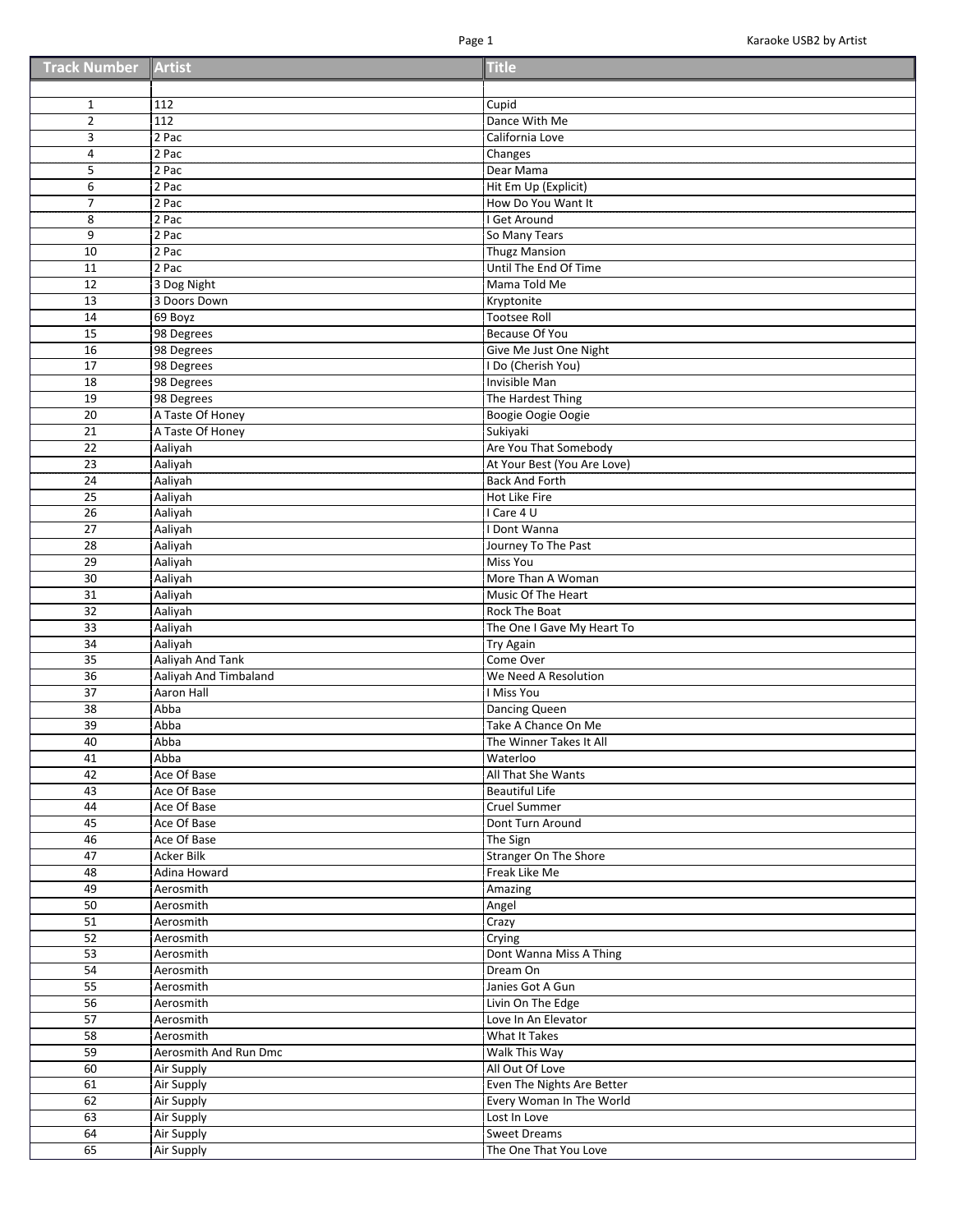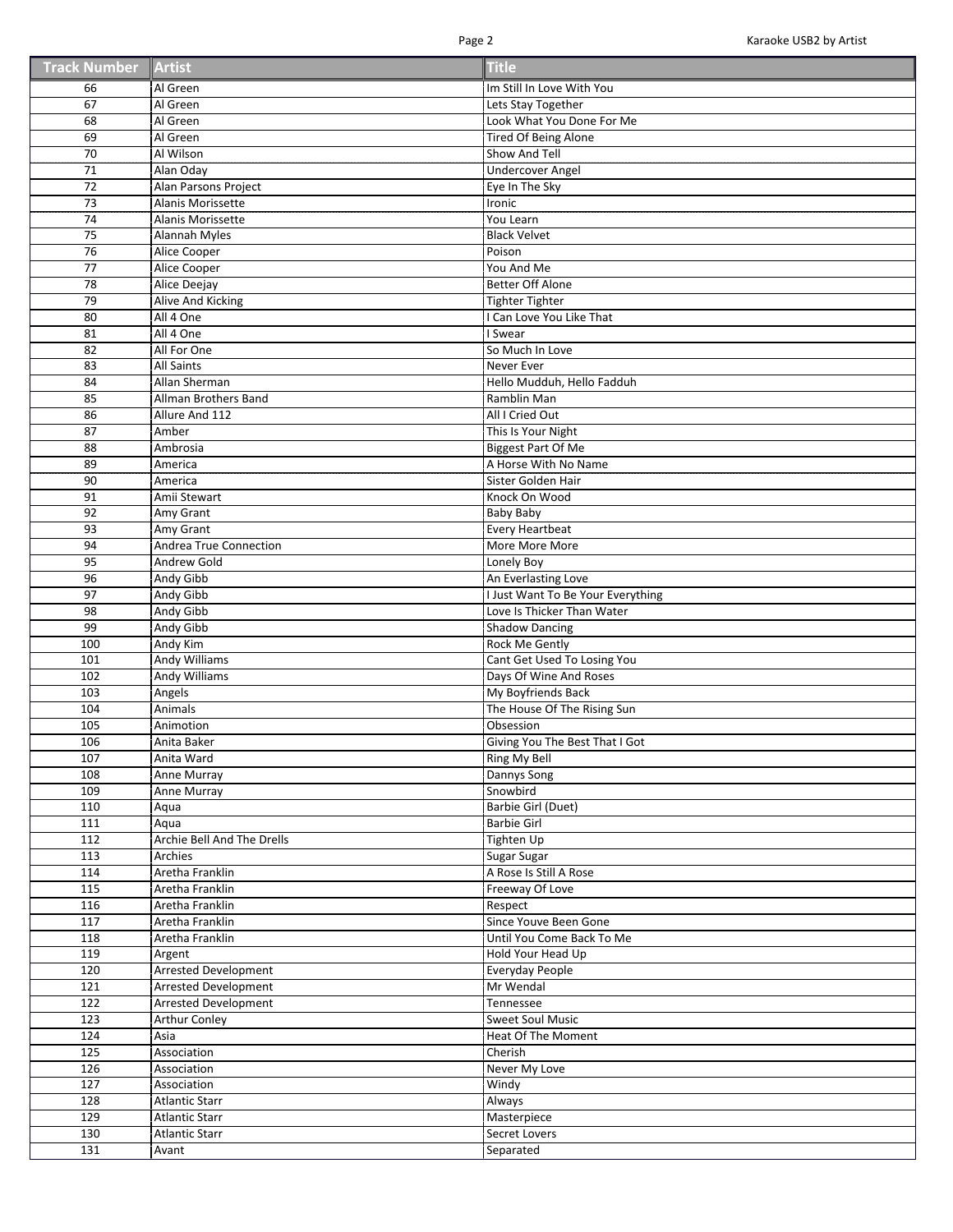| <b>Track Number Artist</b> |  | <b>Title</b> |
|----------------------------|--|--------------|
|----------------------------|--|--------------|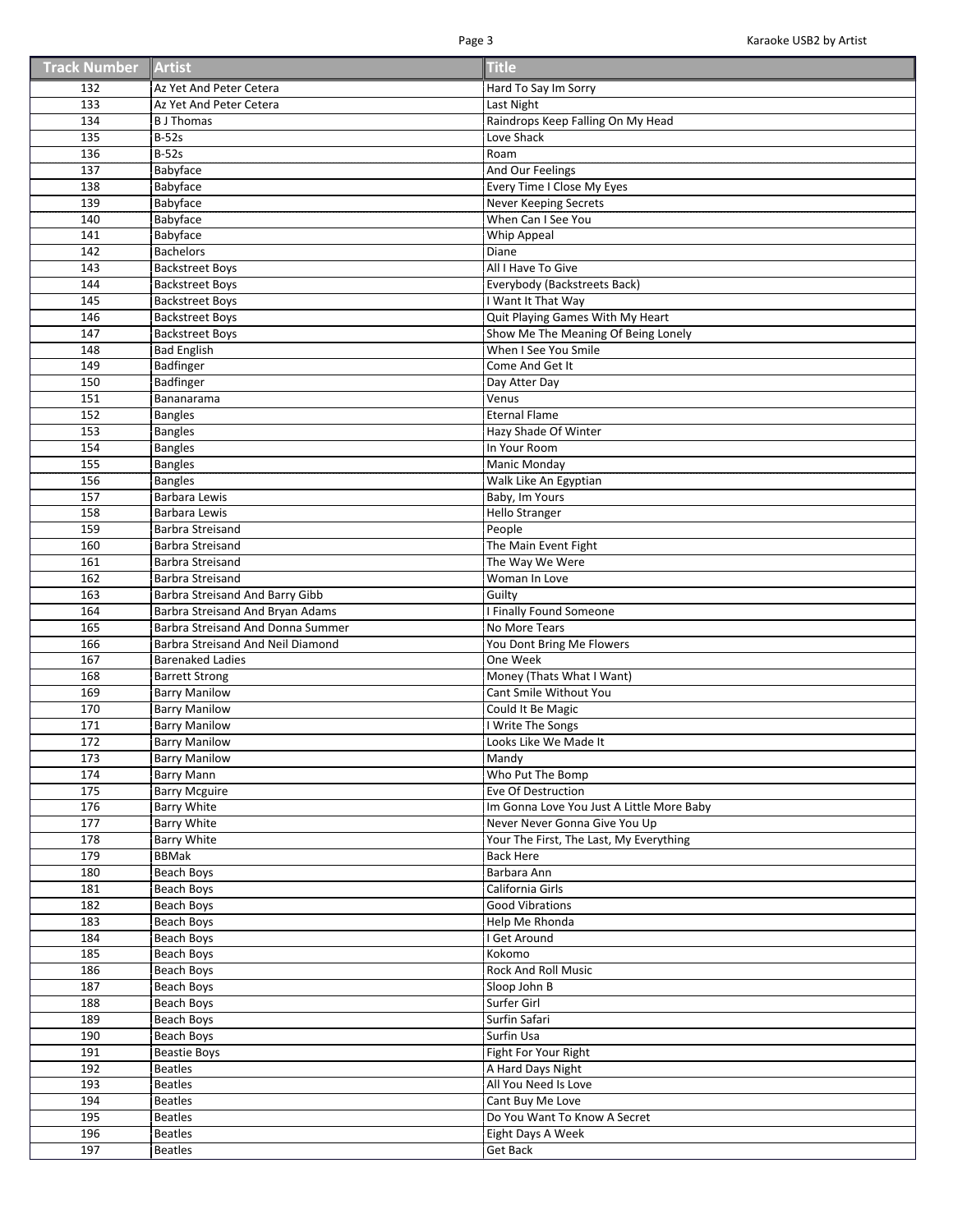| <b>Track Number Artist</b> |  | <b>Title</b> |
|----------------------------|--|--------------|
|----------------------------|--|--------------|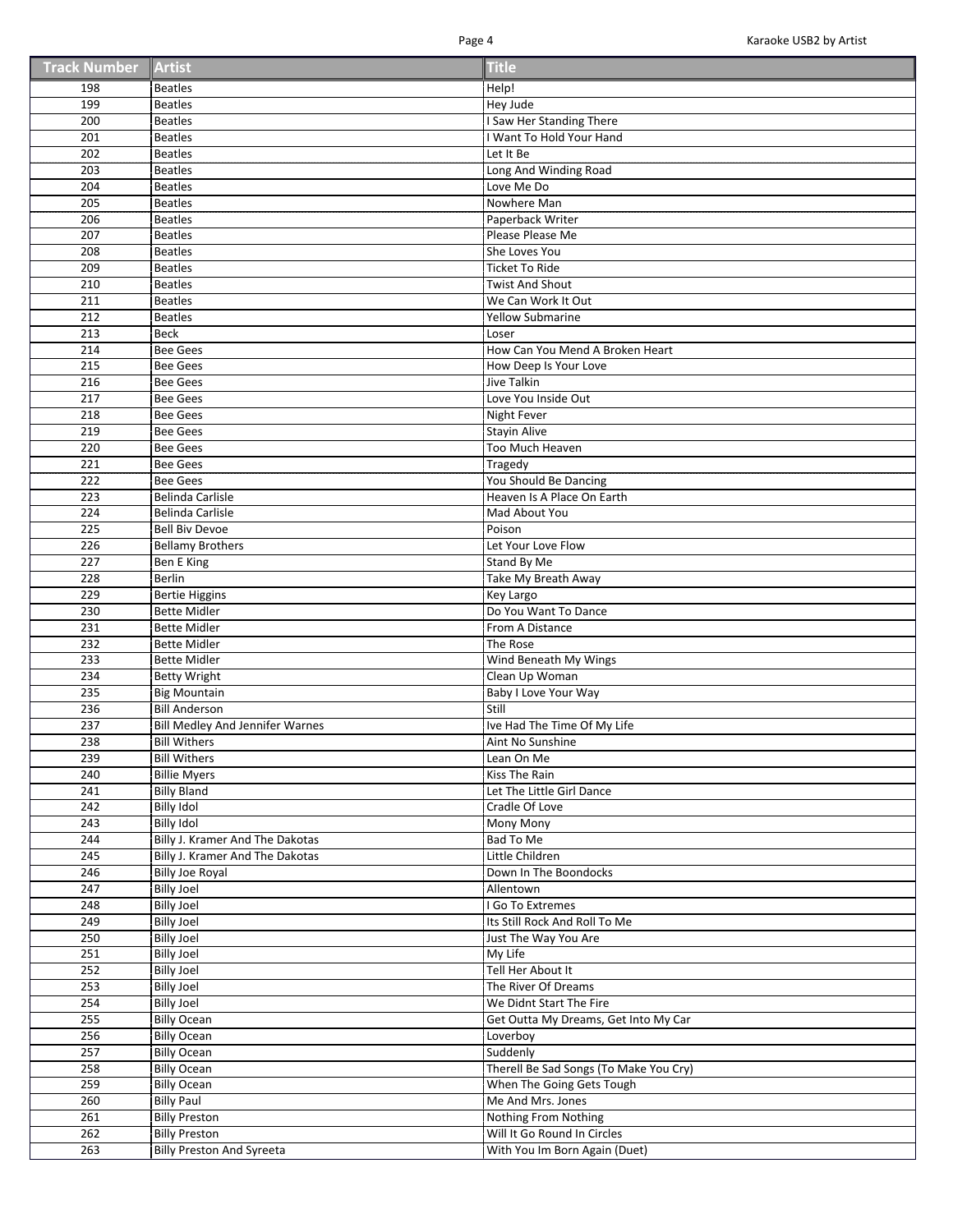| <b>Track Number Artist</b> |  | <b>Title</b> |
|----------------------------|--|--------------|
|----------------------------|--|--------------|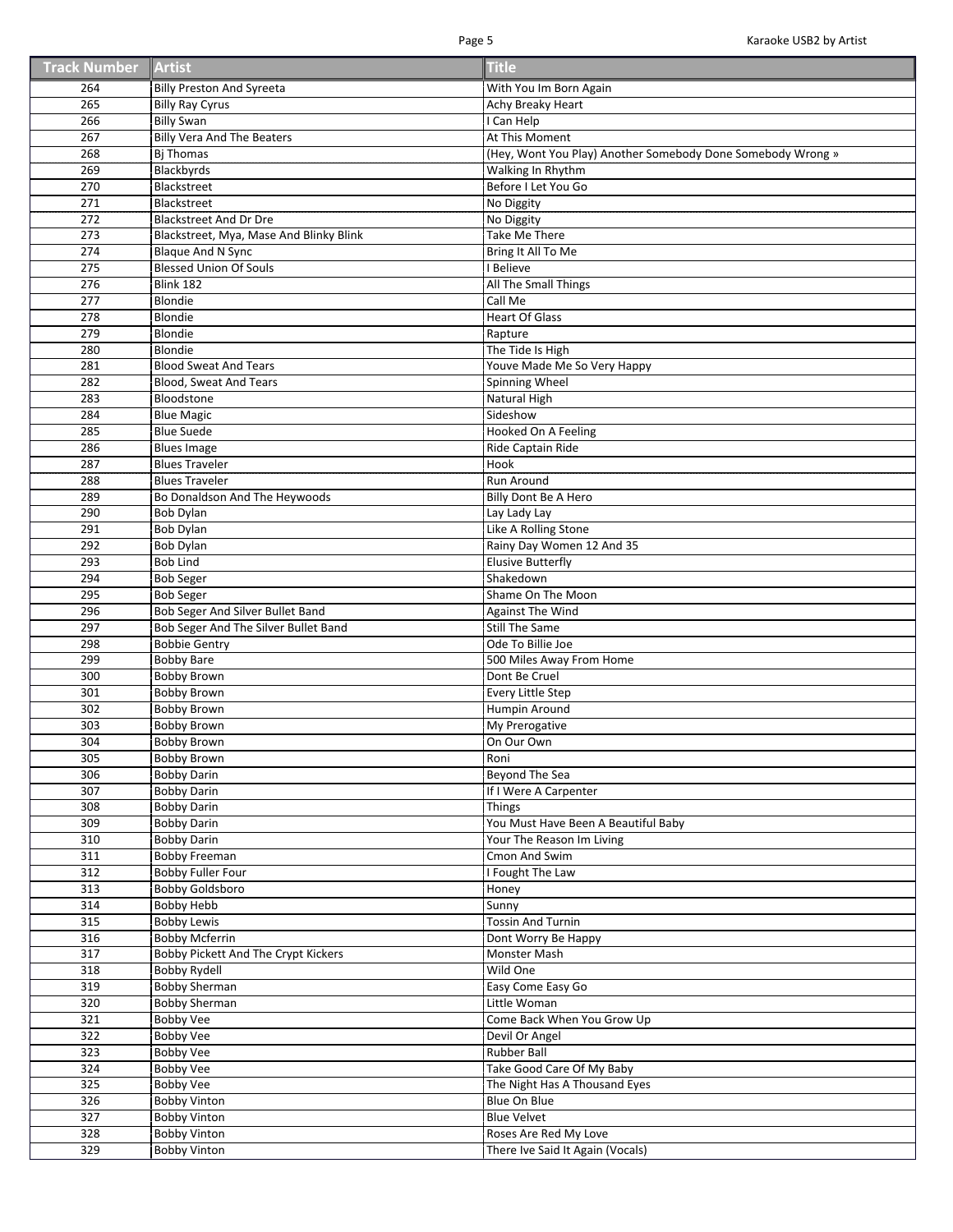| <b>Track Number Artist</b> |  | <b>Title</b> |
|----------------------------|--|--------------|
|----------------------------|--|--------------|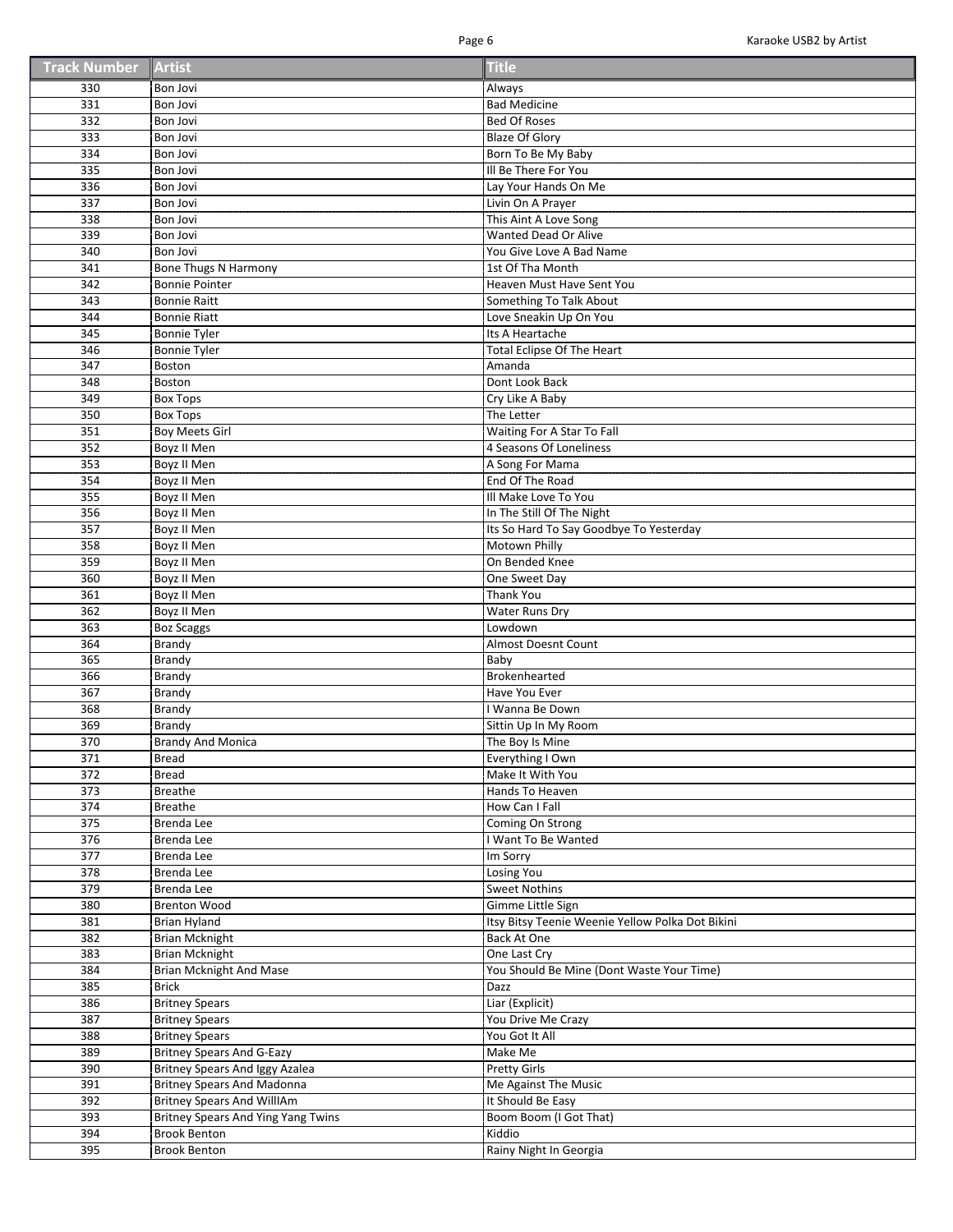| <b>Track Number Artist</b> |  | <b>Title</b> |
|----------------------------|--|--------------|
|----------------------------|--|--------------|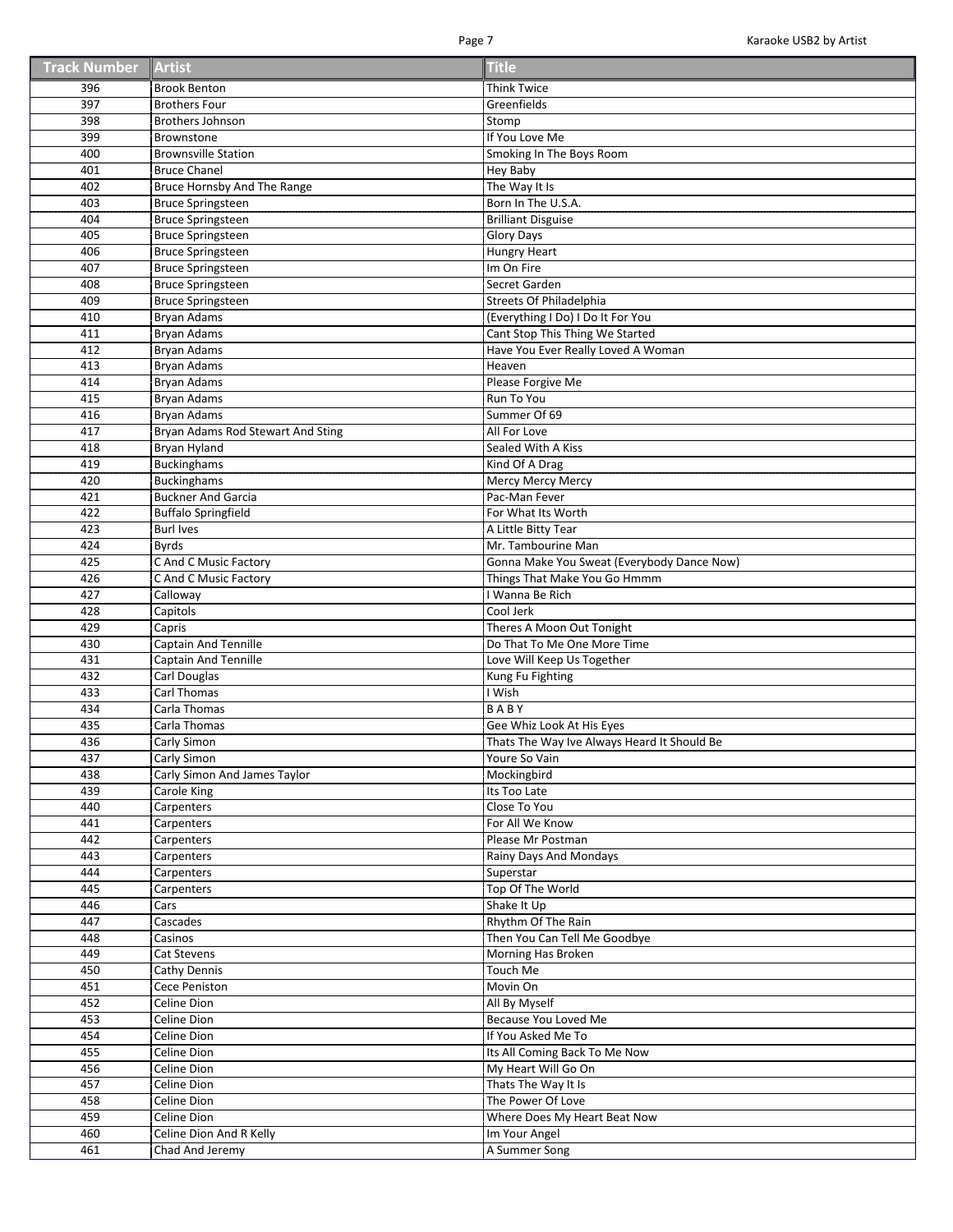| <b>Track Number Artist</b> |  | <b>Title</b> |
|----------------------------|--|--------------|
|----------------------------|--|--------------|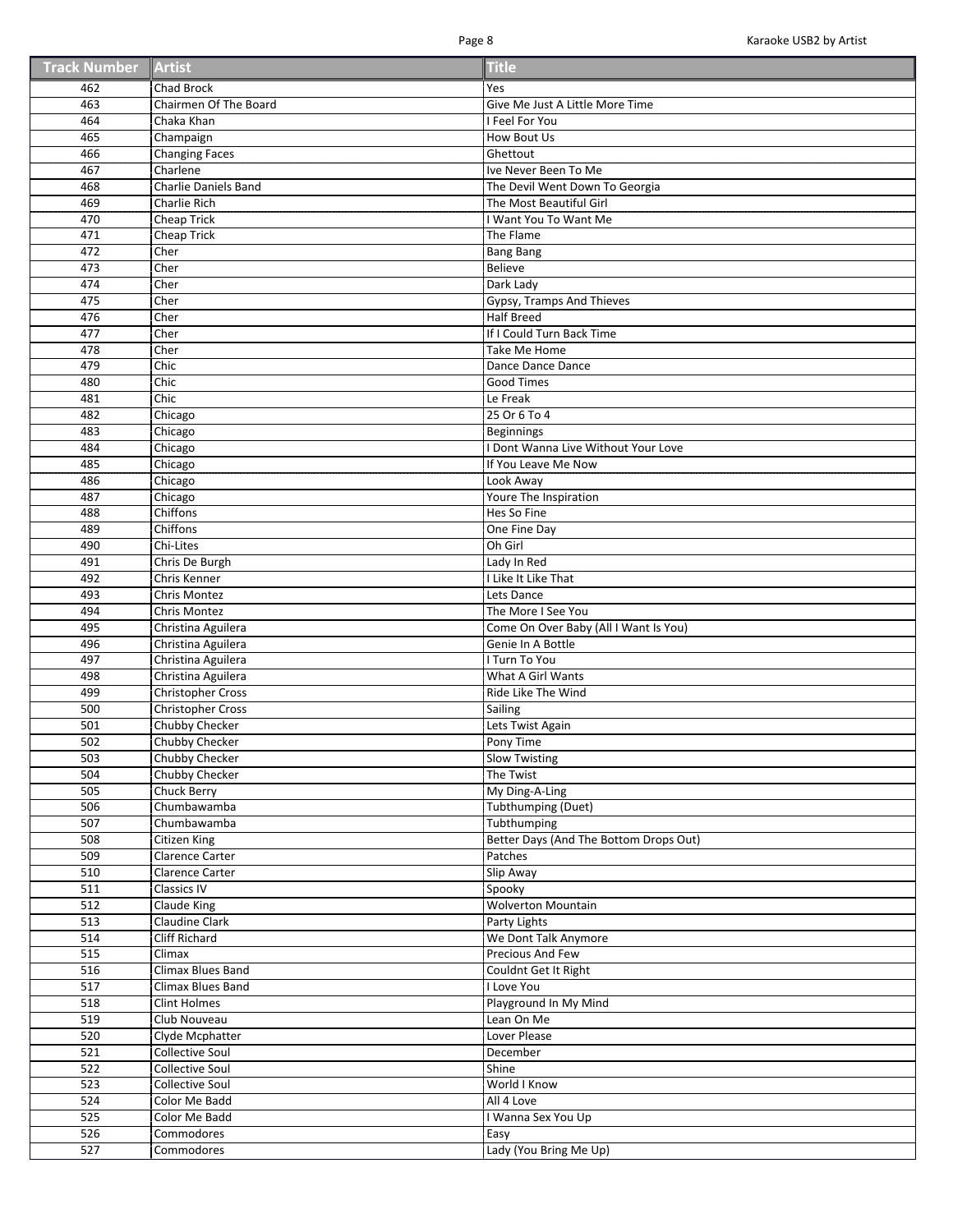| <b>Track Number Artist</b> |  | <b>Title</b> |
|----------------------------|--|--------------|
|----------------------------|--|--------------|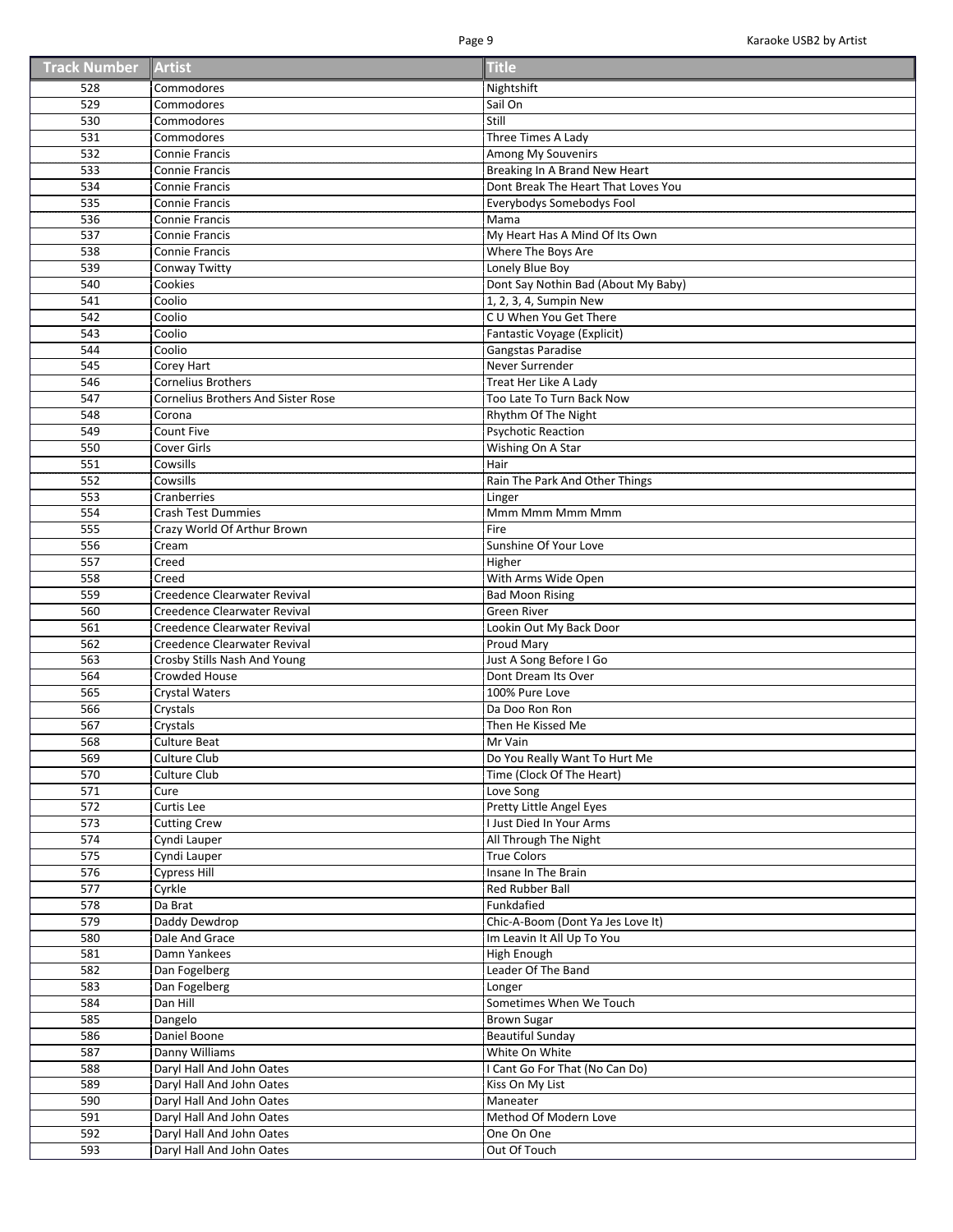| <b>Track Number Artist</b> |  | <b>Title</b> |
|----------------------------|--|--------------|
|----------------------------|--|--------------|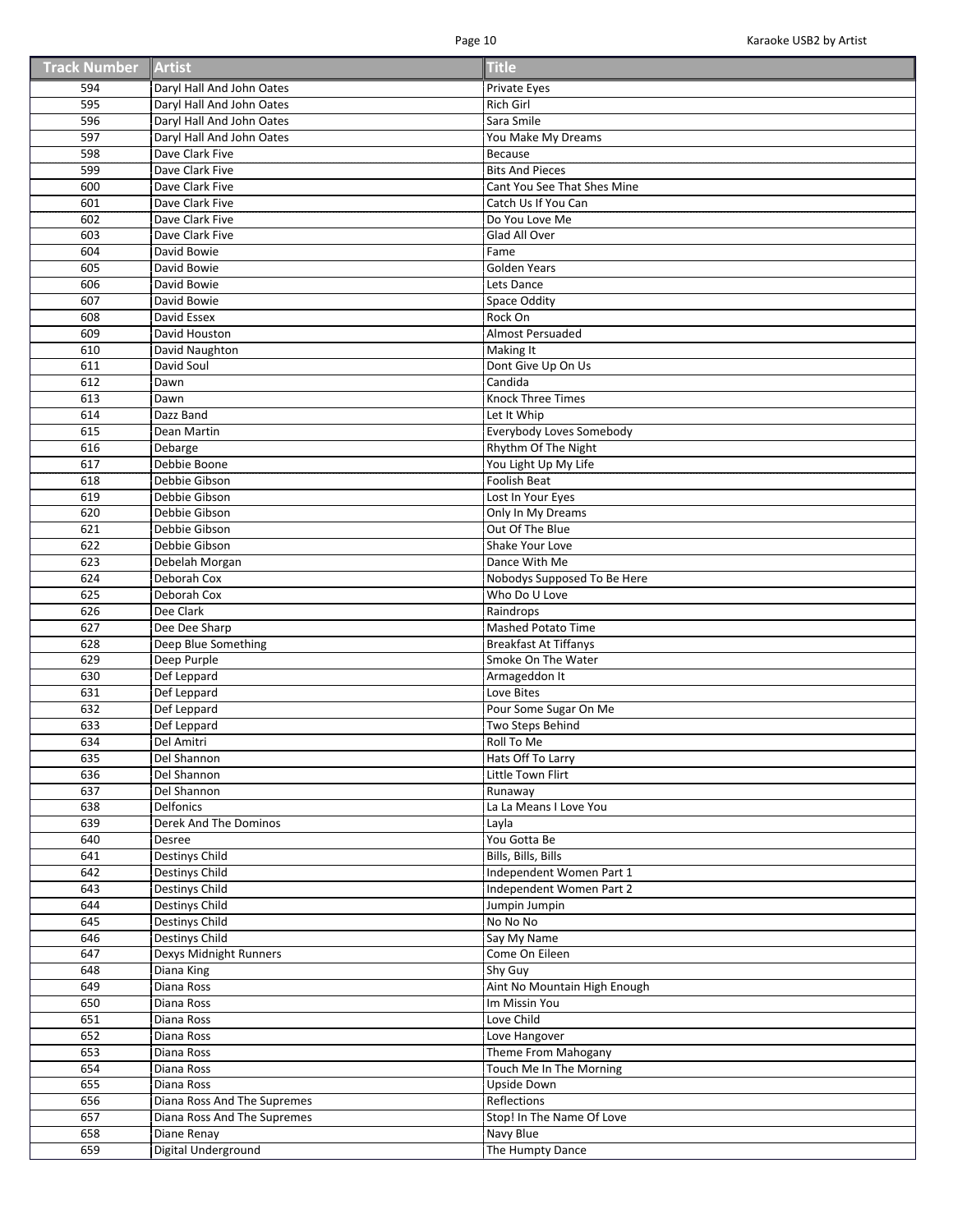| <b>Track Number Artist</b> |  | <b>Title</b> |
|----------------------------|--|--------------|
|----------------------------|--|--------------|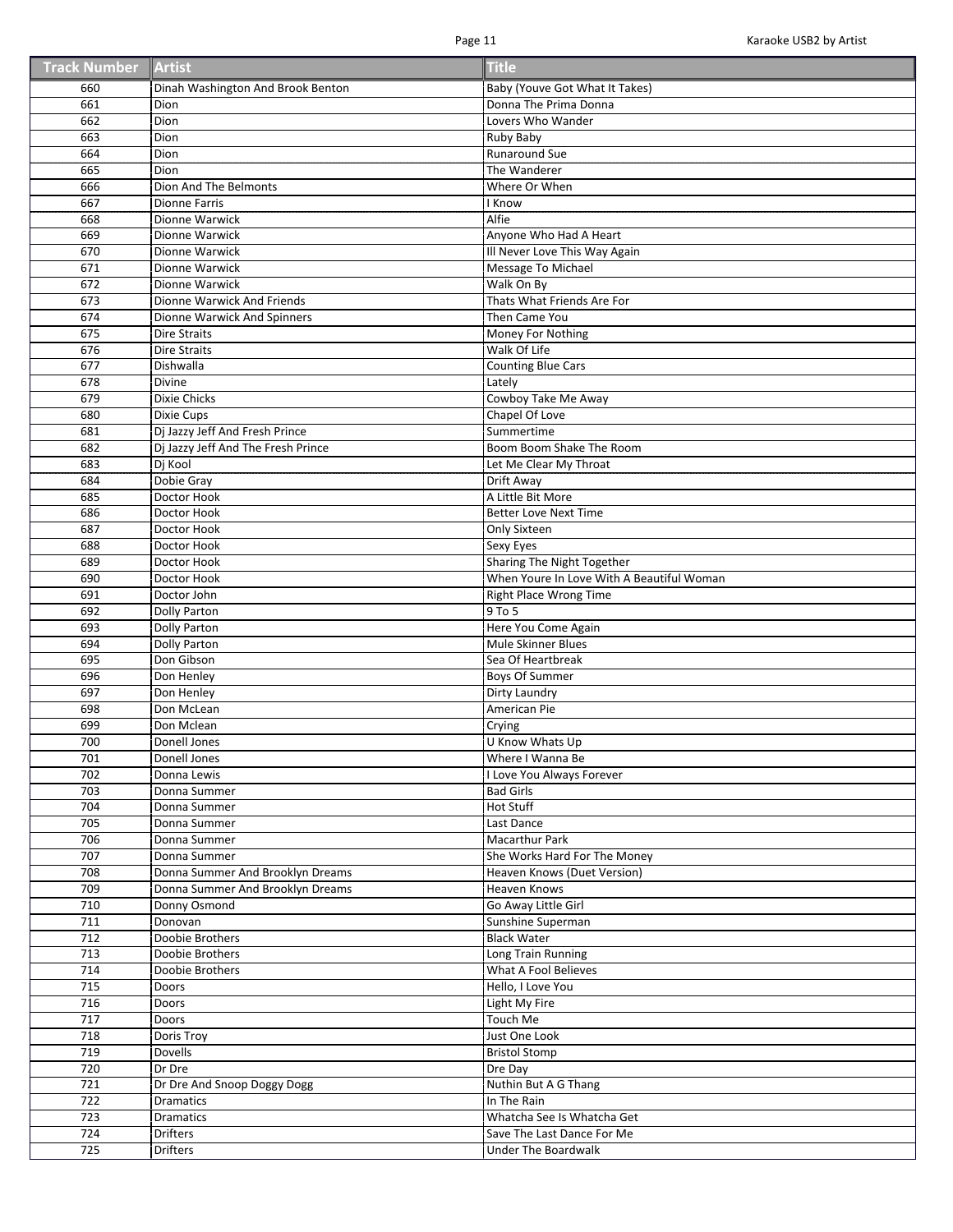| <b>Track Number Artist</b> |  | <b>Title</b> |
|----------------------------|--|--------------|
|----------------------------|--|--------------|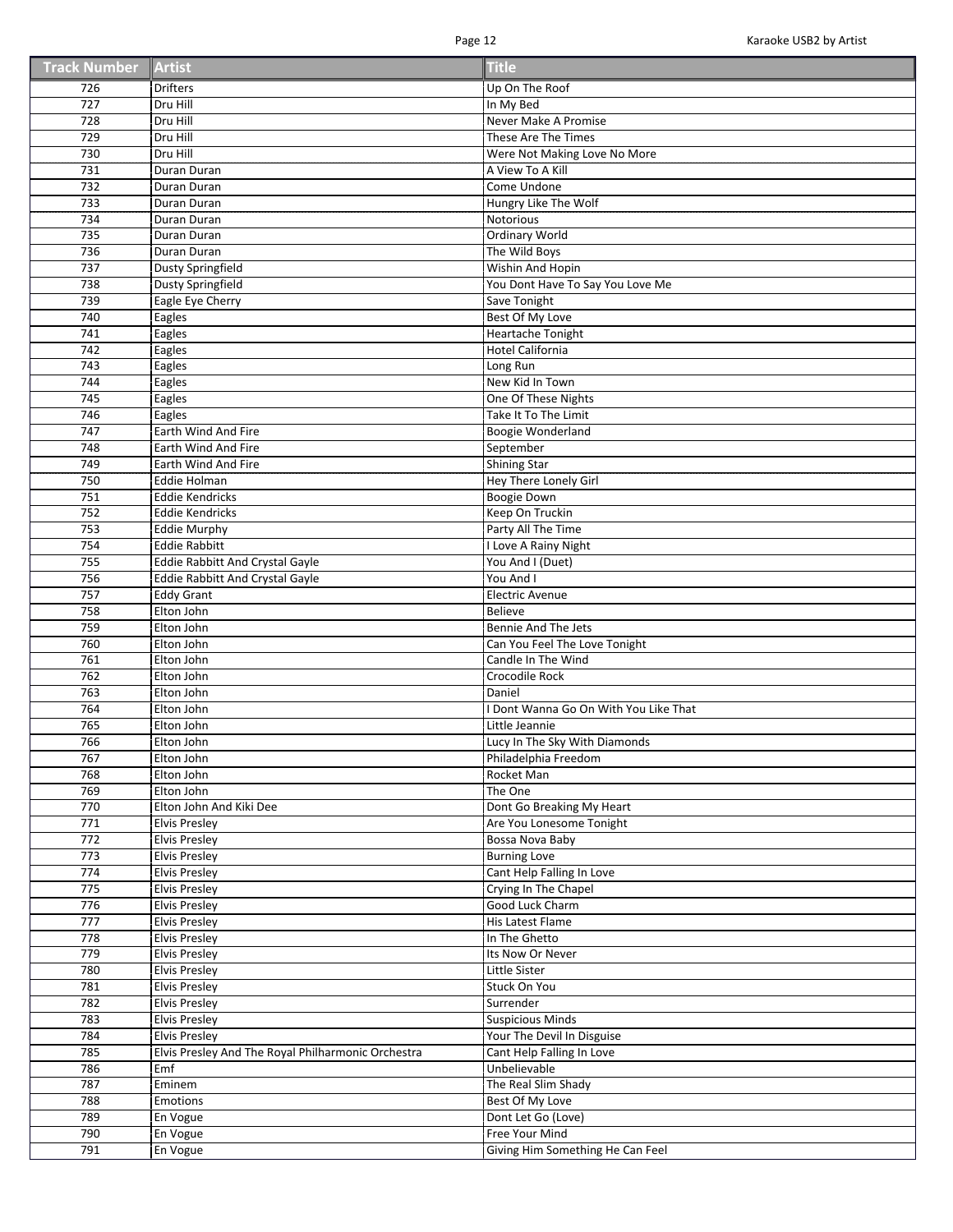| <b>Track Number Artist</b> |  | <b>Title</b> |
|----------------------------|--|--------------|
|----------------------------|--|--------------|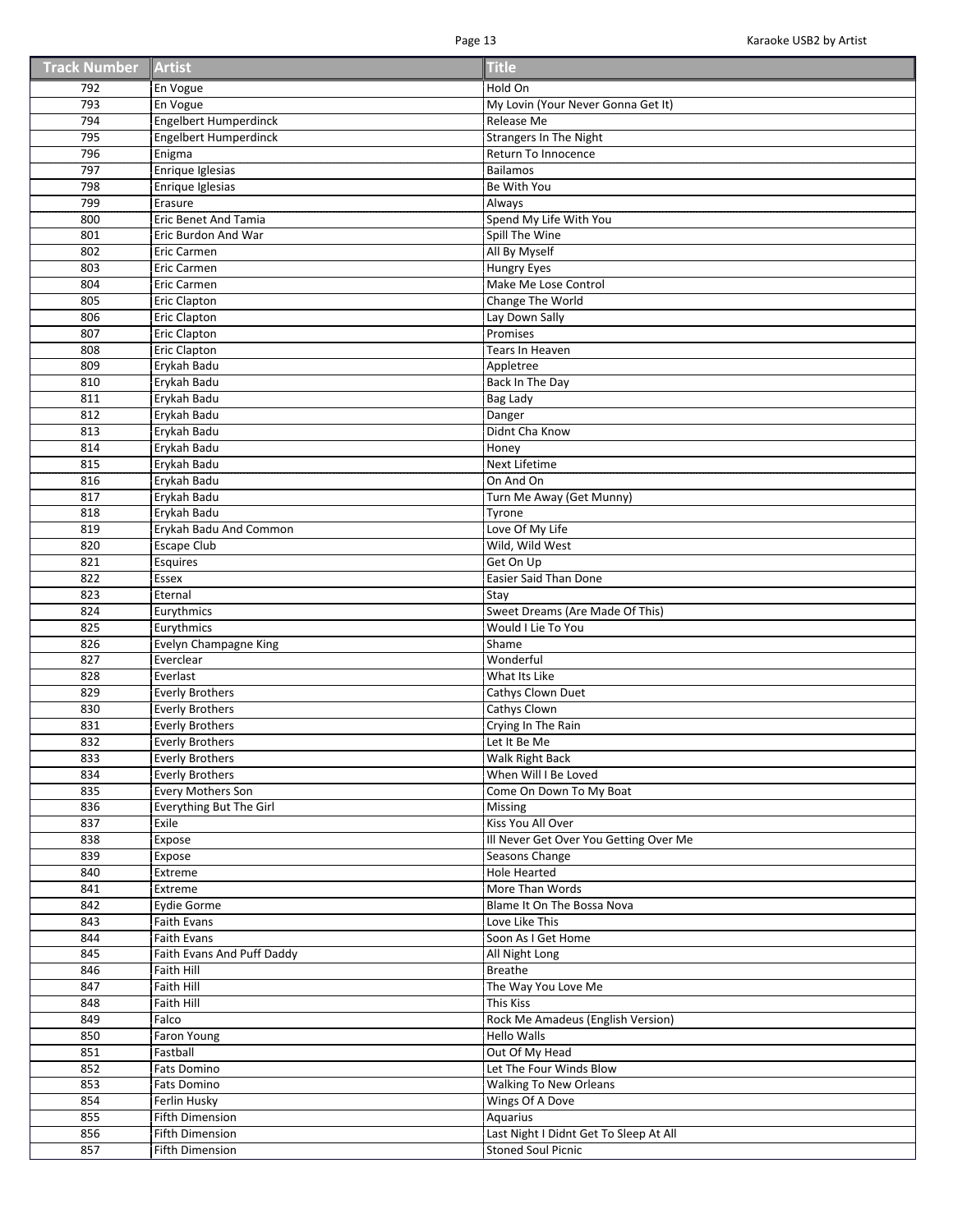| <b>Track Number Artist</b> |  | <b>Title</b> |
|----------------------------|--|--------------|
|----------------------------|--|--------------|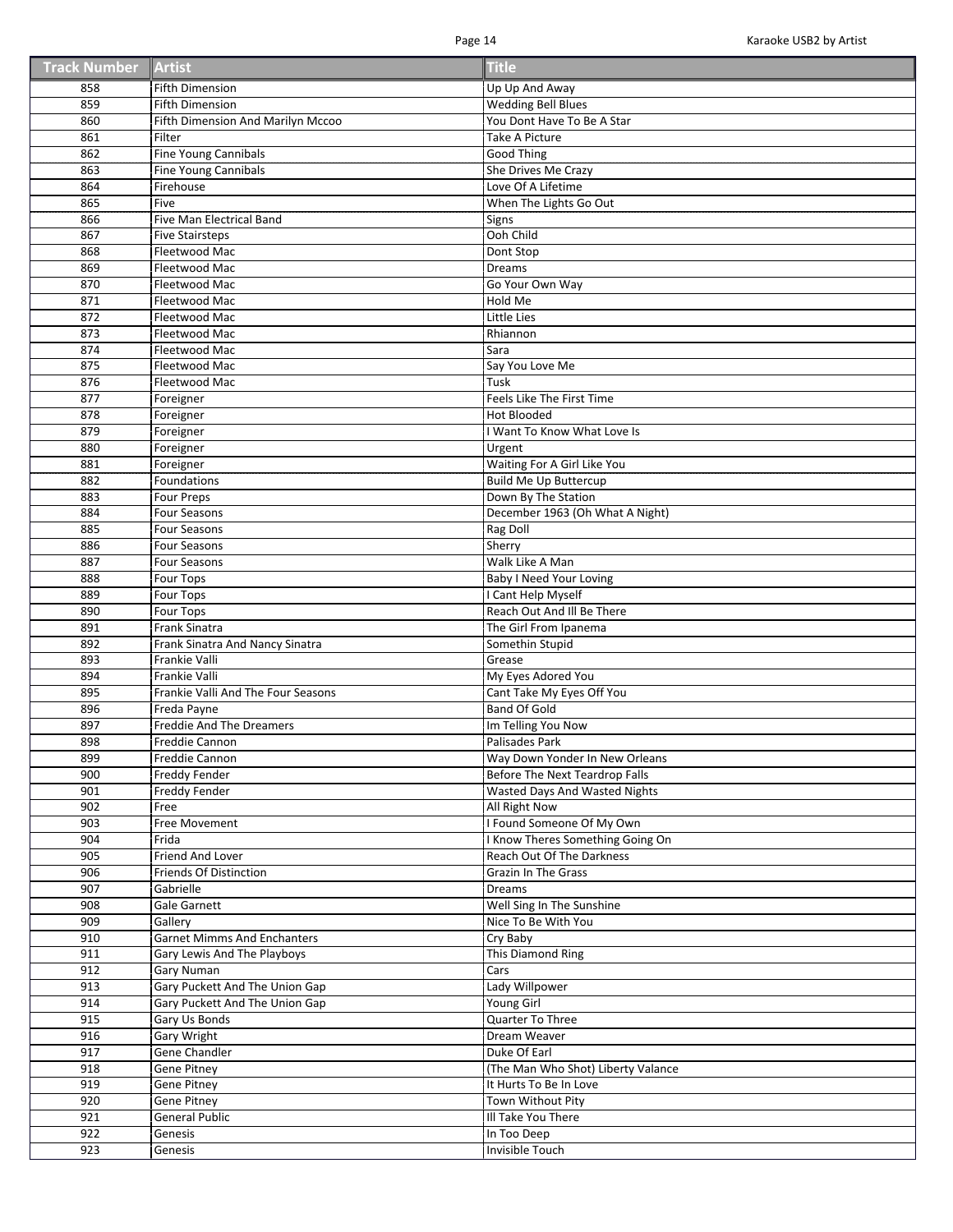| <b>Track Number Artist</b> |  | <b>Title</b> |
|----------------------------|--|--------------|
|----------------------------|--|--------------|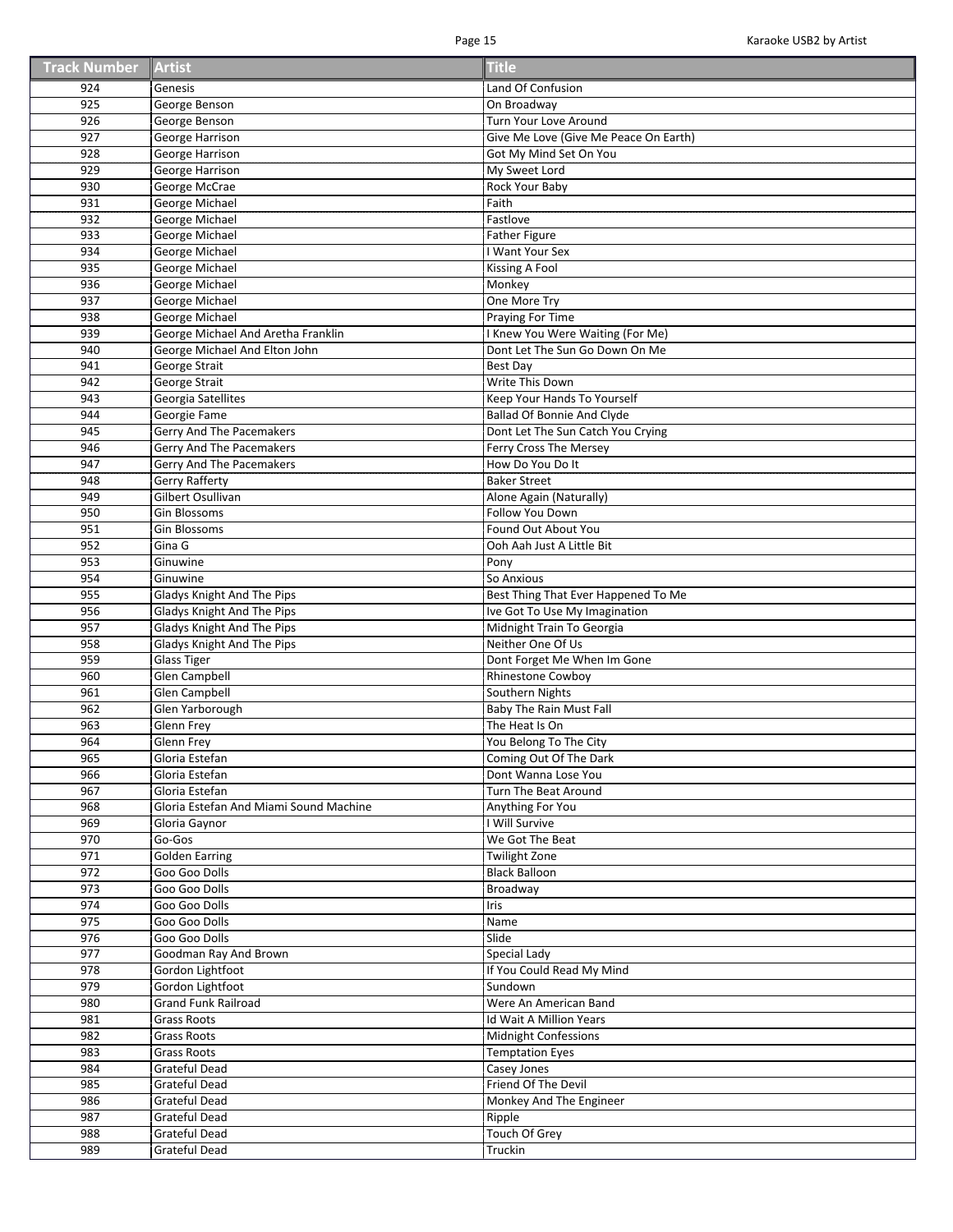| <b>Track Number Artist</b> |  | <b>Title</b> |
|----------------------------|--|--------------|
|----------------------------|--|--------------|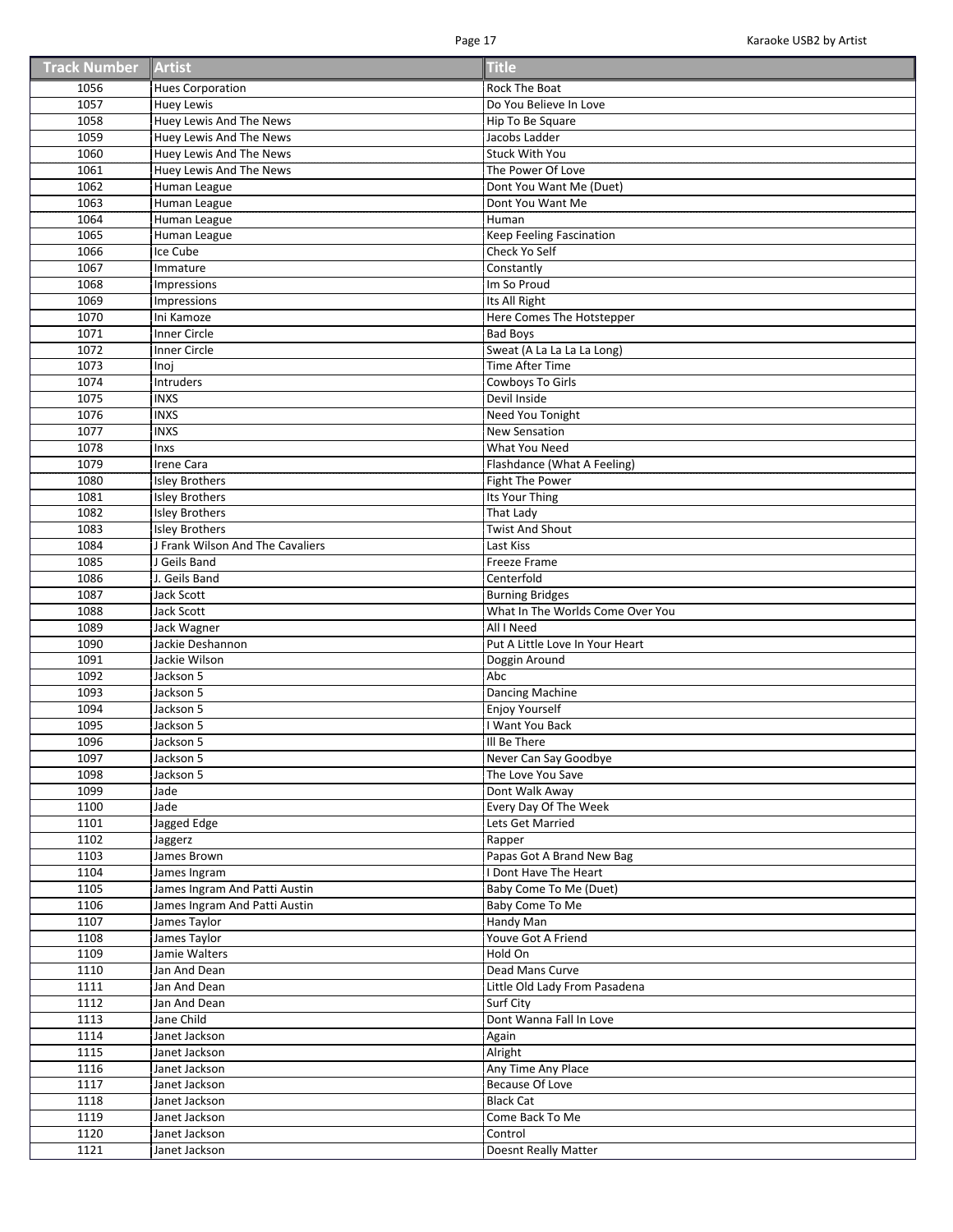| <b>Track Number Artist</b> |  | <b>Title</b> |
|----------------------------|--|--------------|
|----------------------------|--|--------------|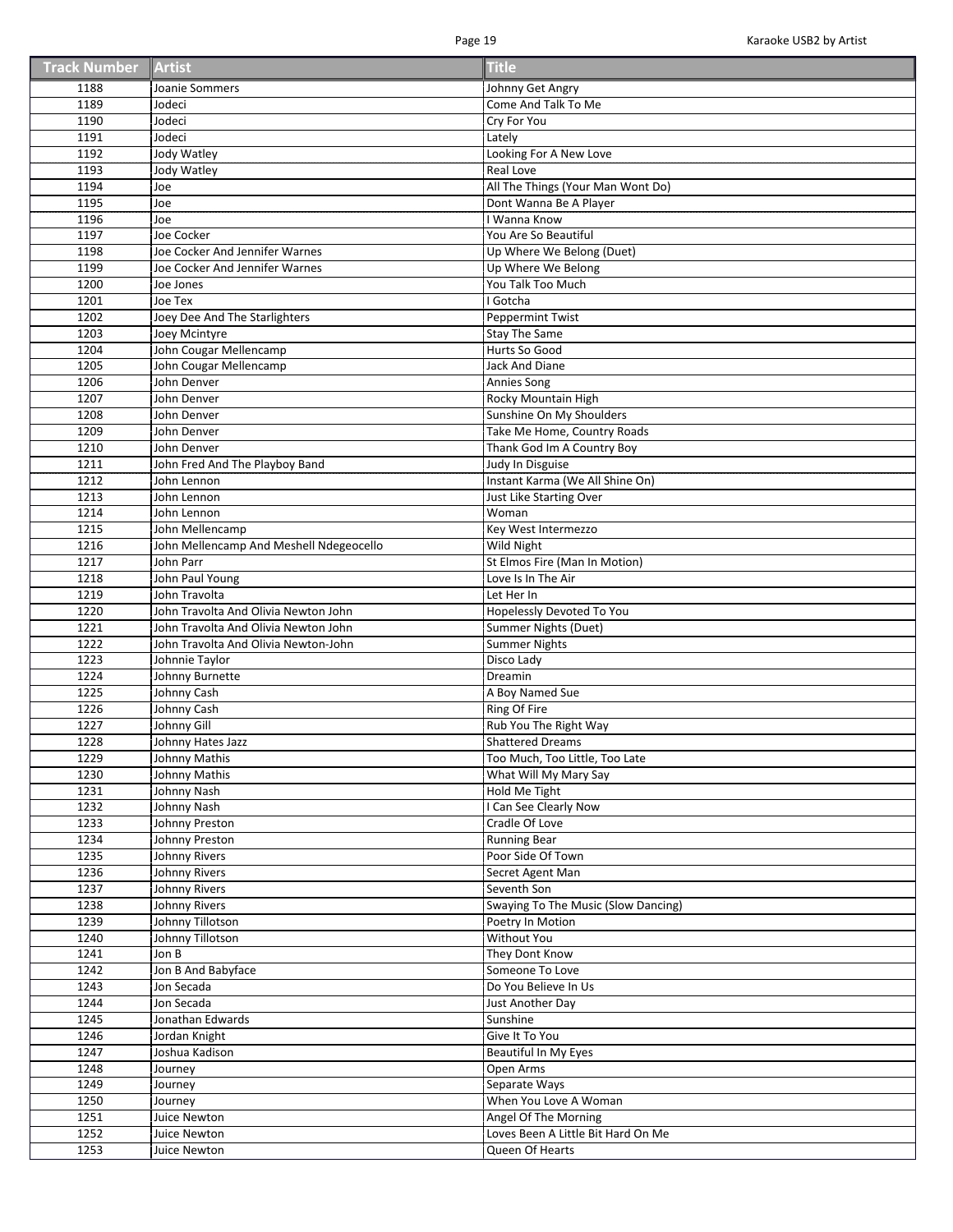| <b>Track Number Artist</b> |  | <b>Title</b> |
|----------------------------|--|--------------|
|----------------------------|--|--------------|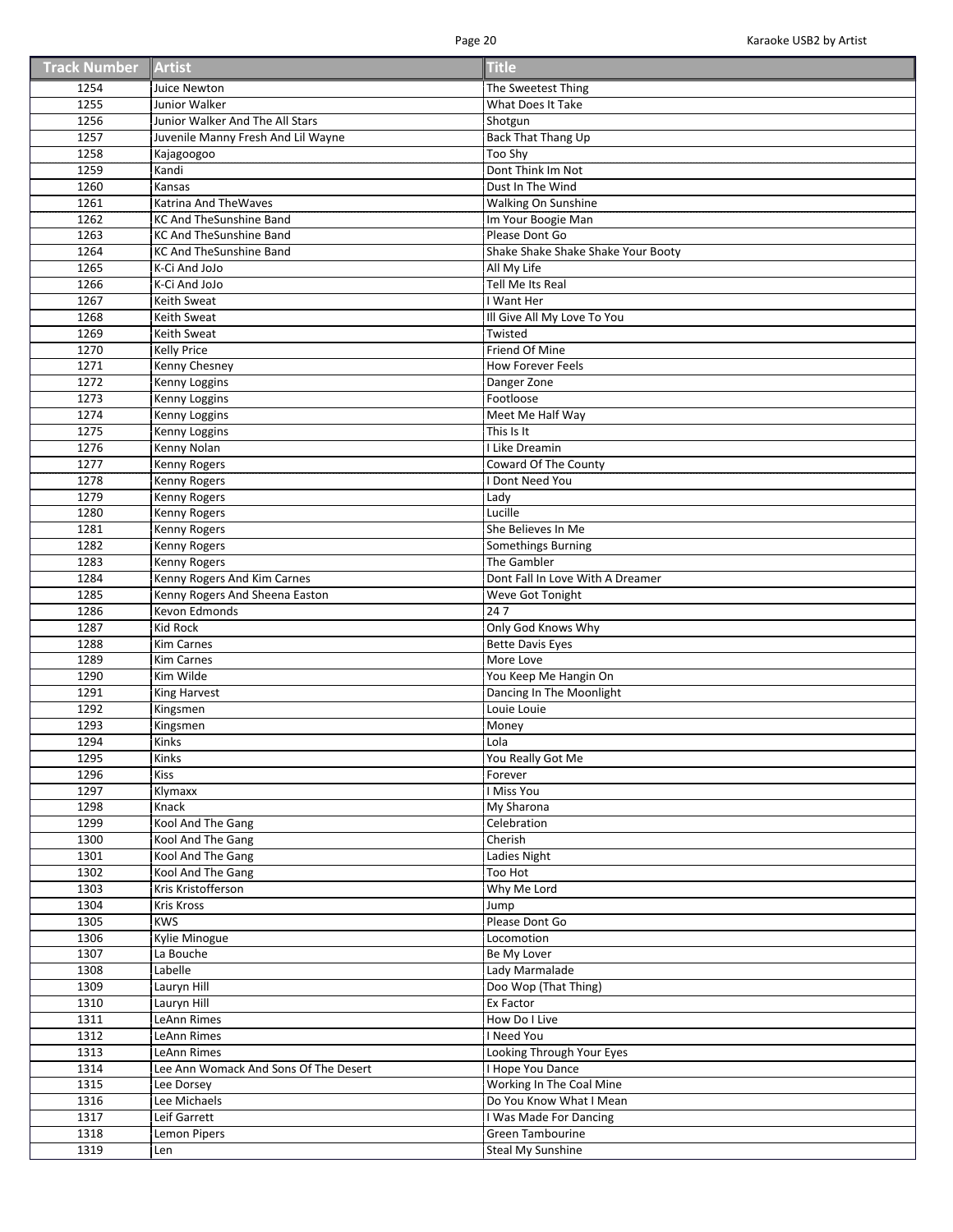| <b>Track Number Artist</b> |  | <b>Title</b> |
|----------------------------|--|--------------|
|----------------------------|--|--------------|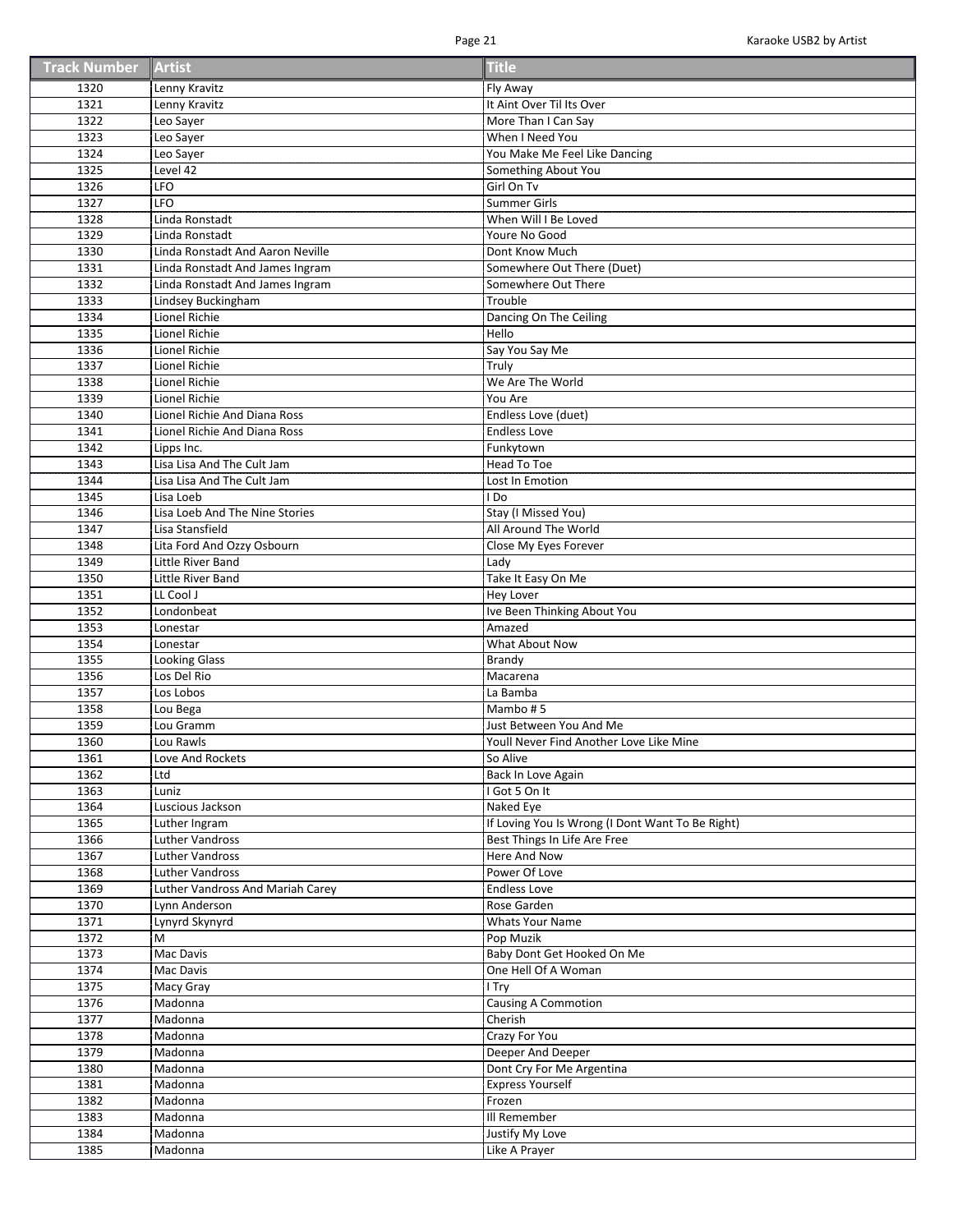| <b>Track Number Artist</b> |  | <b>Title</b> |
|----------------------------|--|--------------|
|----------------------------|--|--------------|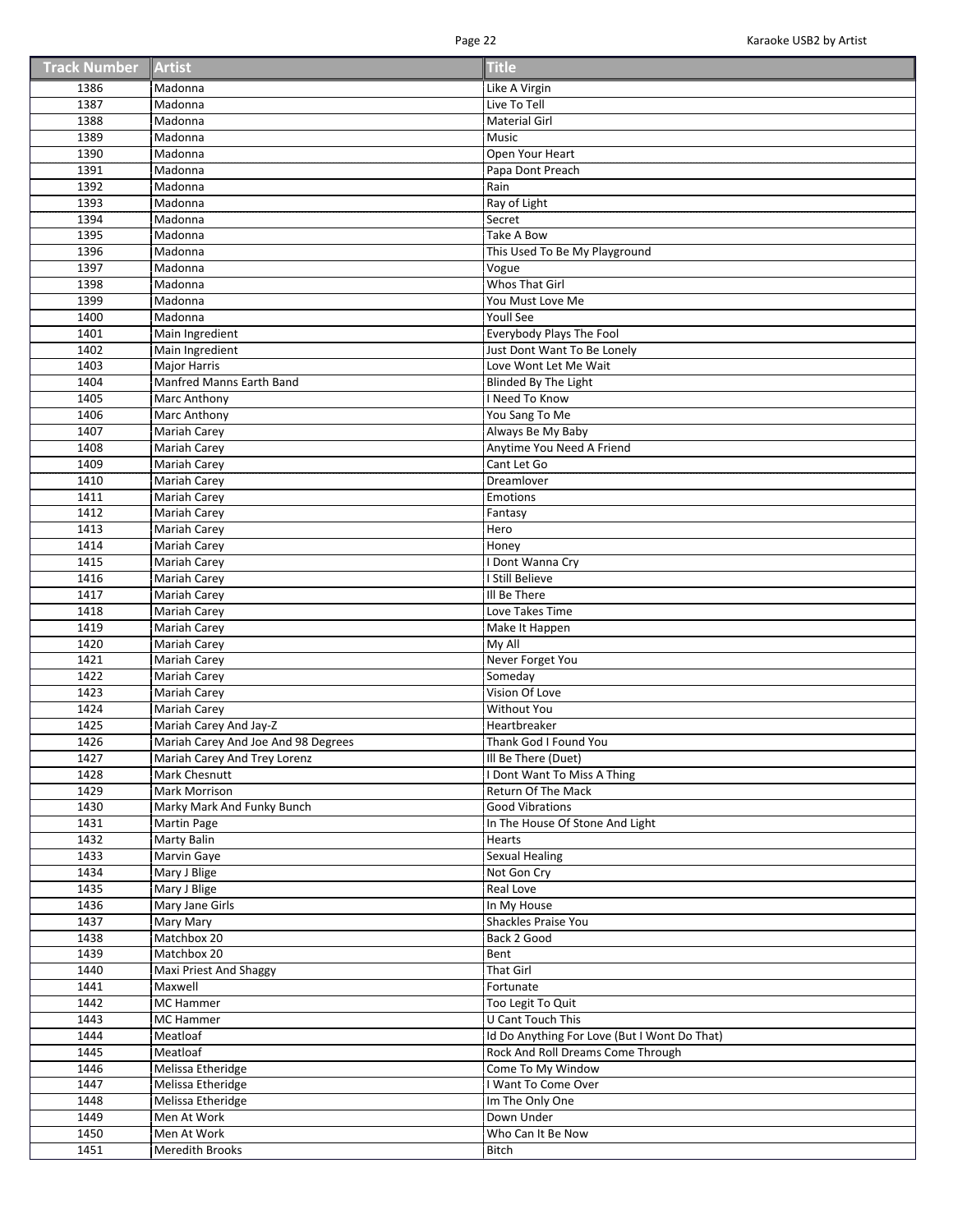| <b>Track Number Artist</b> |  | <b>Title</b> |
|----------------------------|--|--------------|
|----------------------------|--|--------------|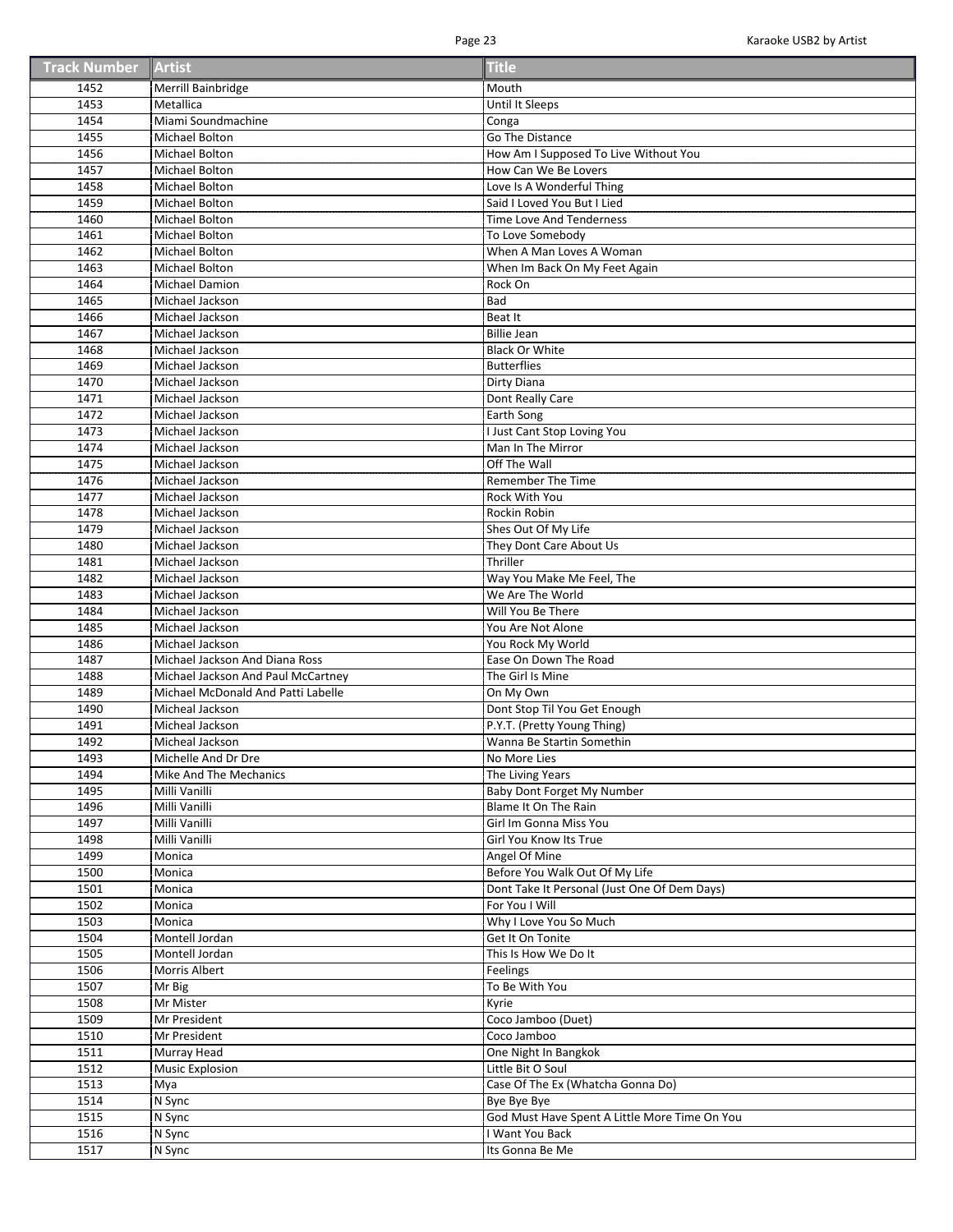| <b>Track Number Artist</b> |  | <b>Title</b> |
|----------------------------|--|--------------|
|----------------------------|--|--------------|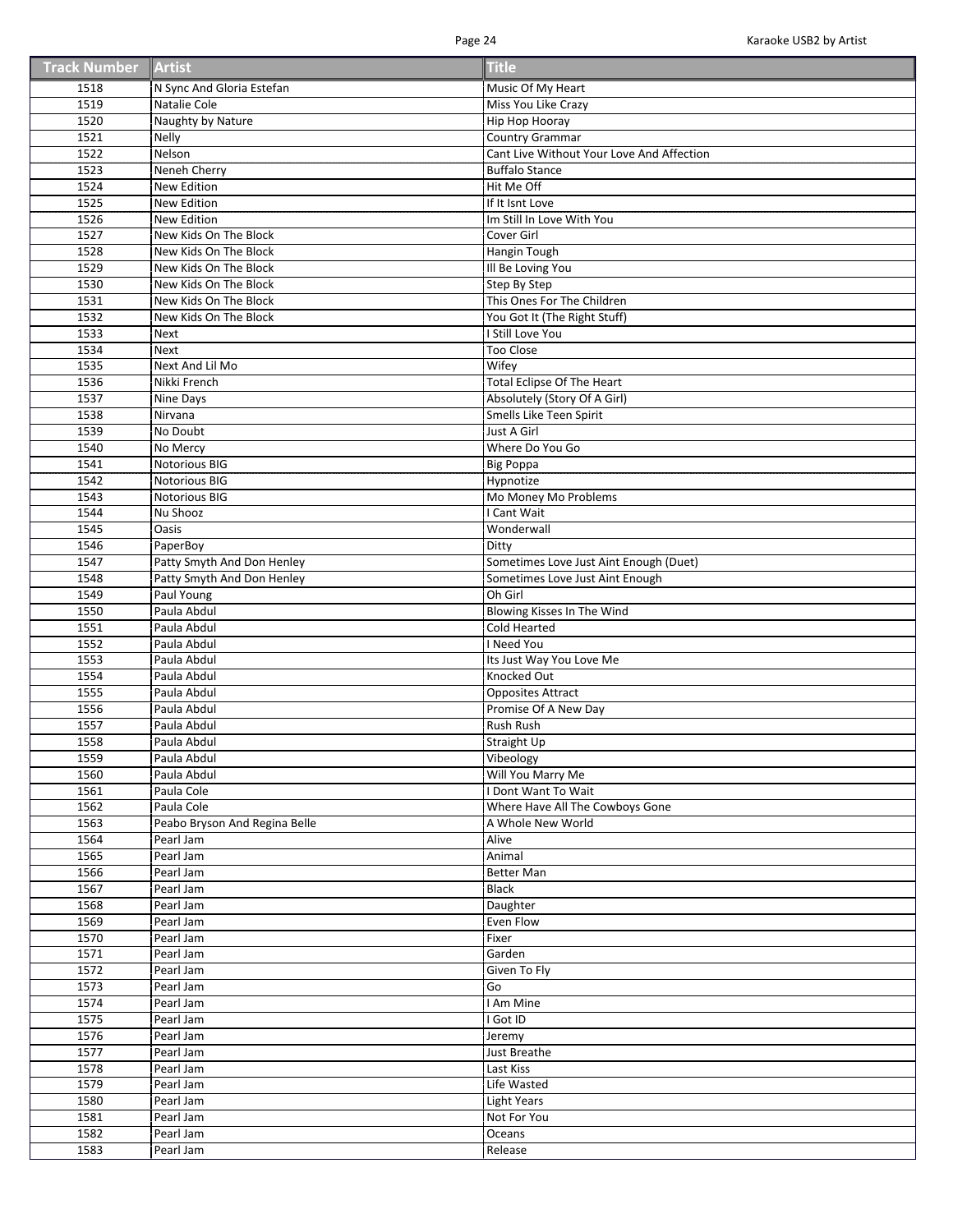| <b>Track Number Artist</b> |  | <b>Title</b> |
|----------------------------|--|--------------|
|----------------------------|--|--------------|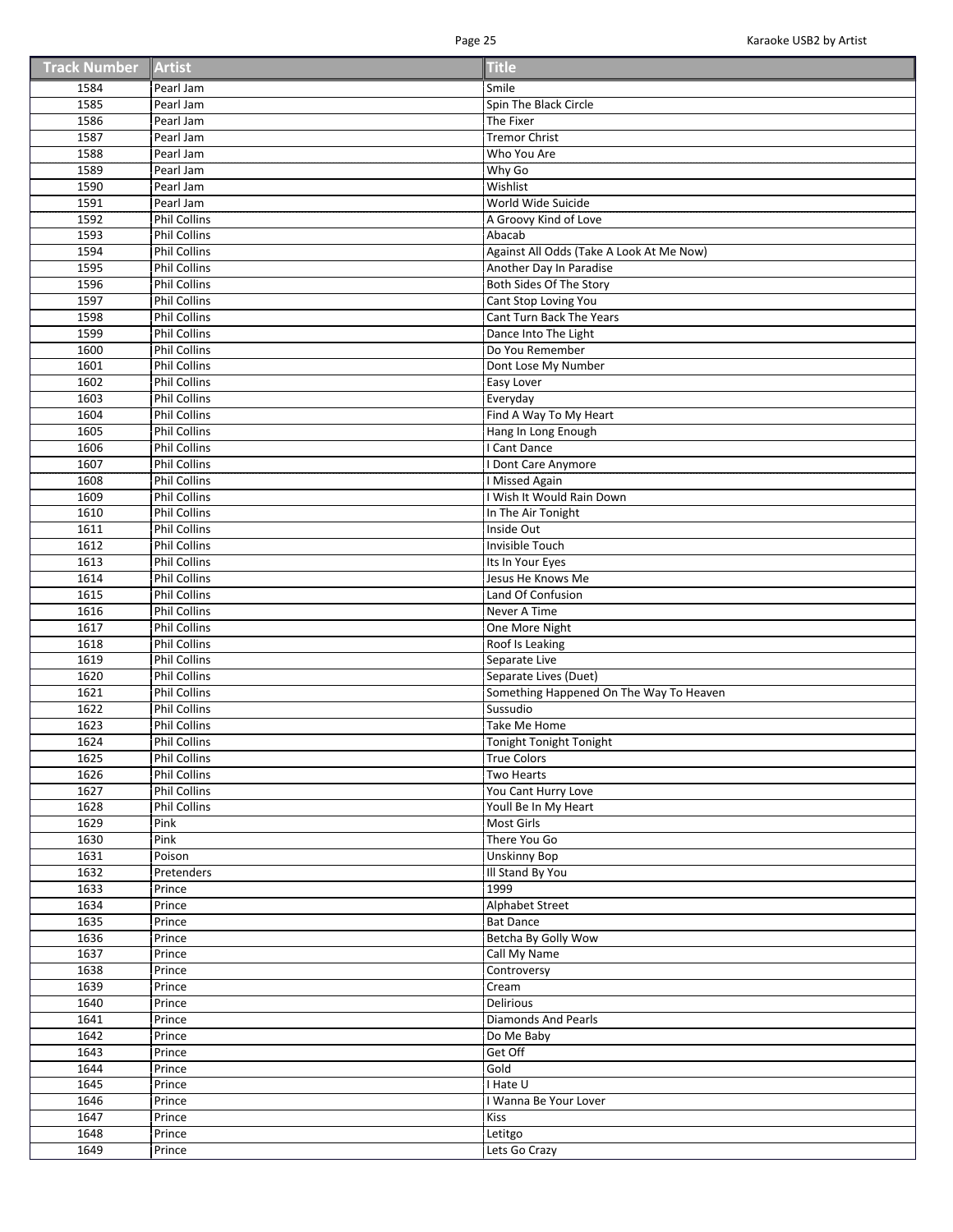| <b>Track Number Artist</b> |  | <b>Title</b> |
|----------------------------|--|--------------|
|----------------------------|--|--------------|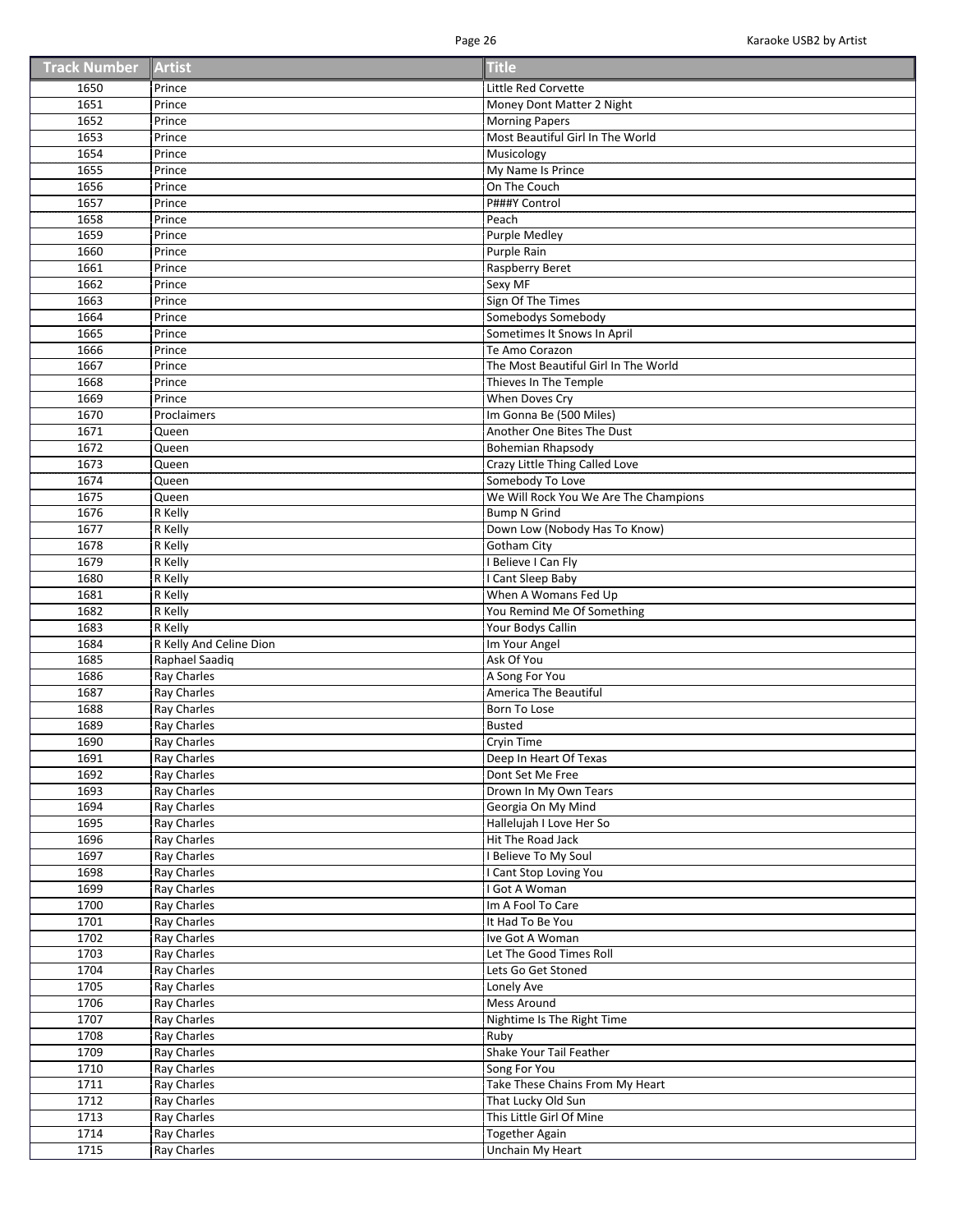| <b>Track Number Artist</b> |  | <b>Title</b> |
|----------------------------|--|--------------|
|----------------------------|--|--------------|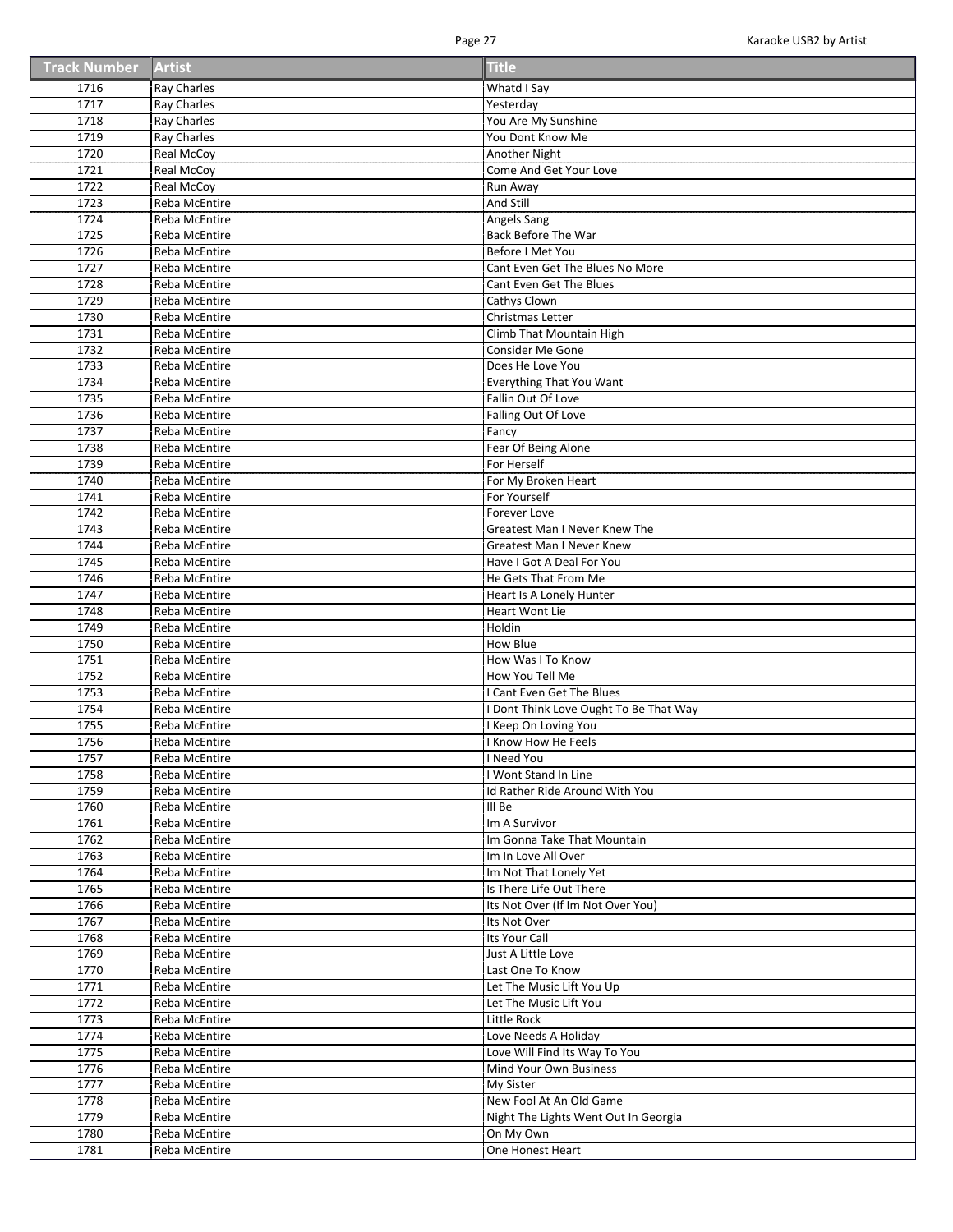| <b>Track Number Artist</b> |  | <b>Title</b> |
|----------------------------|--|--------------|
|----------------------------|--|--------------|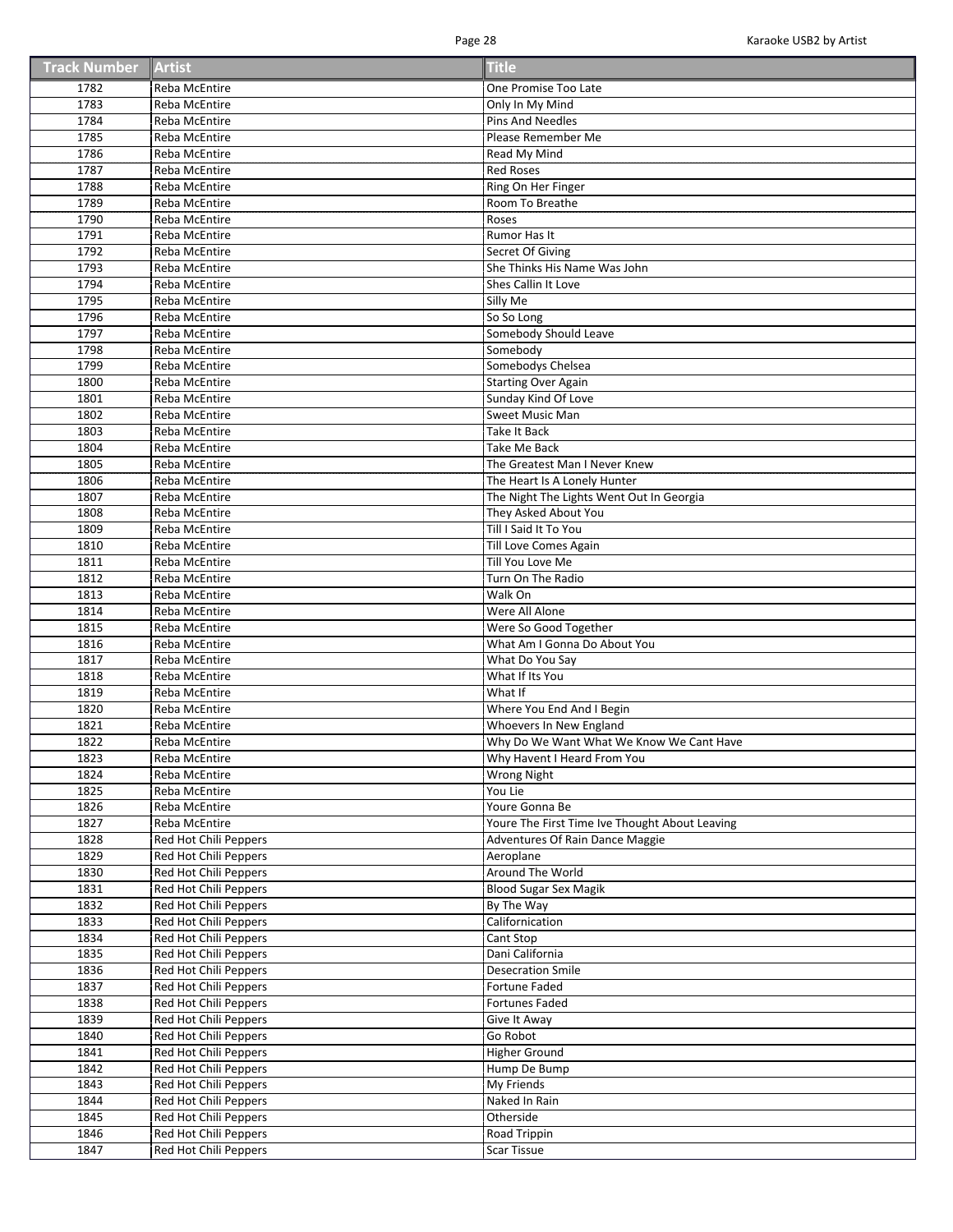| <b>Track Number Artist</b> |  | <b>Title</b> |
|----------------------------|--|--------------|
|----------------------------|--|--------------|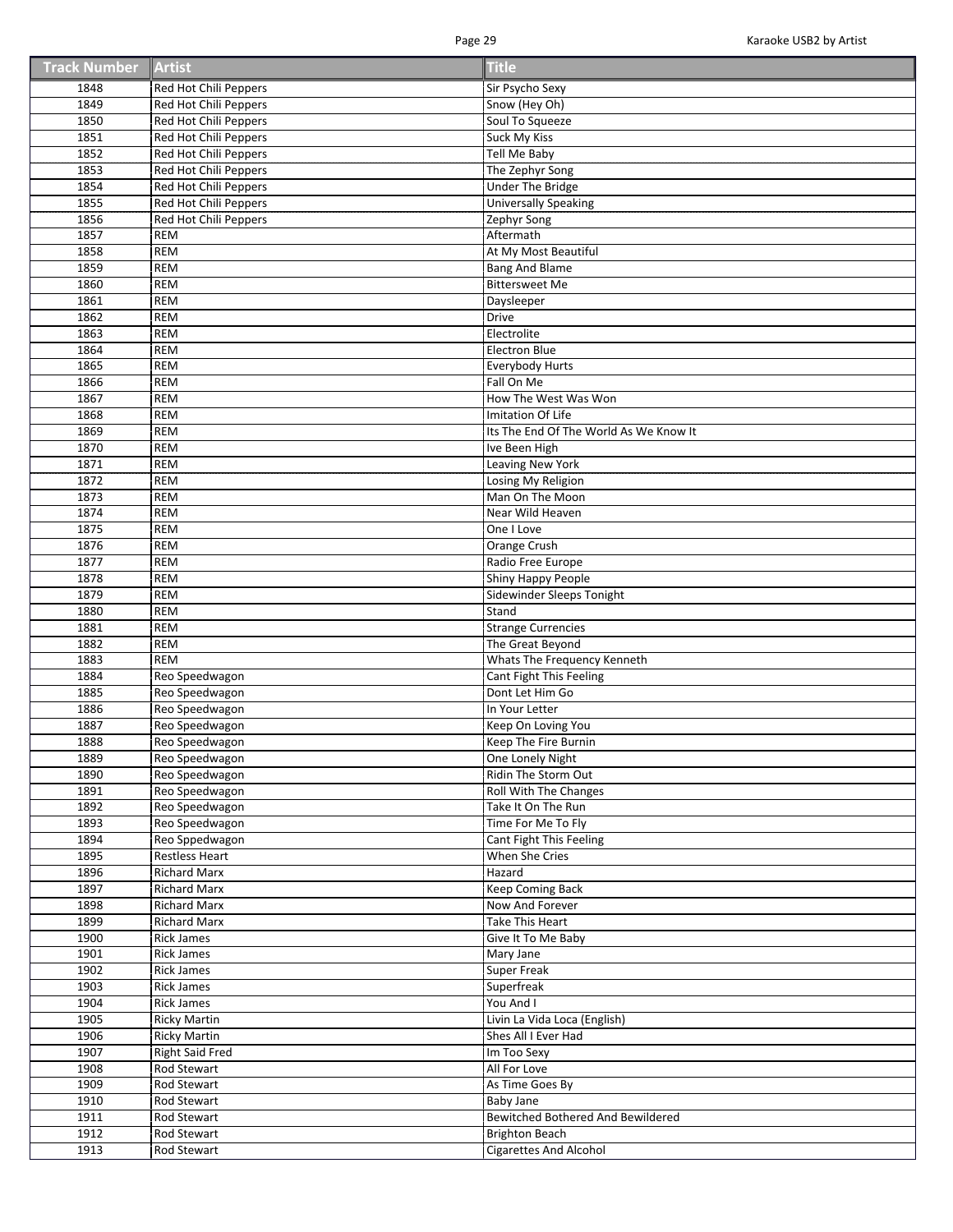| <b>Track Number Artist</b> |  | <b>Title</b> |
|----------------------------|--|--------------|
|----------------------------|--|--------------|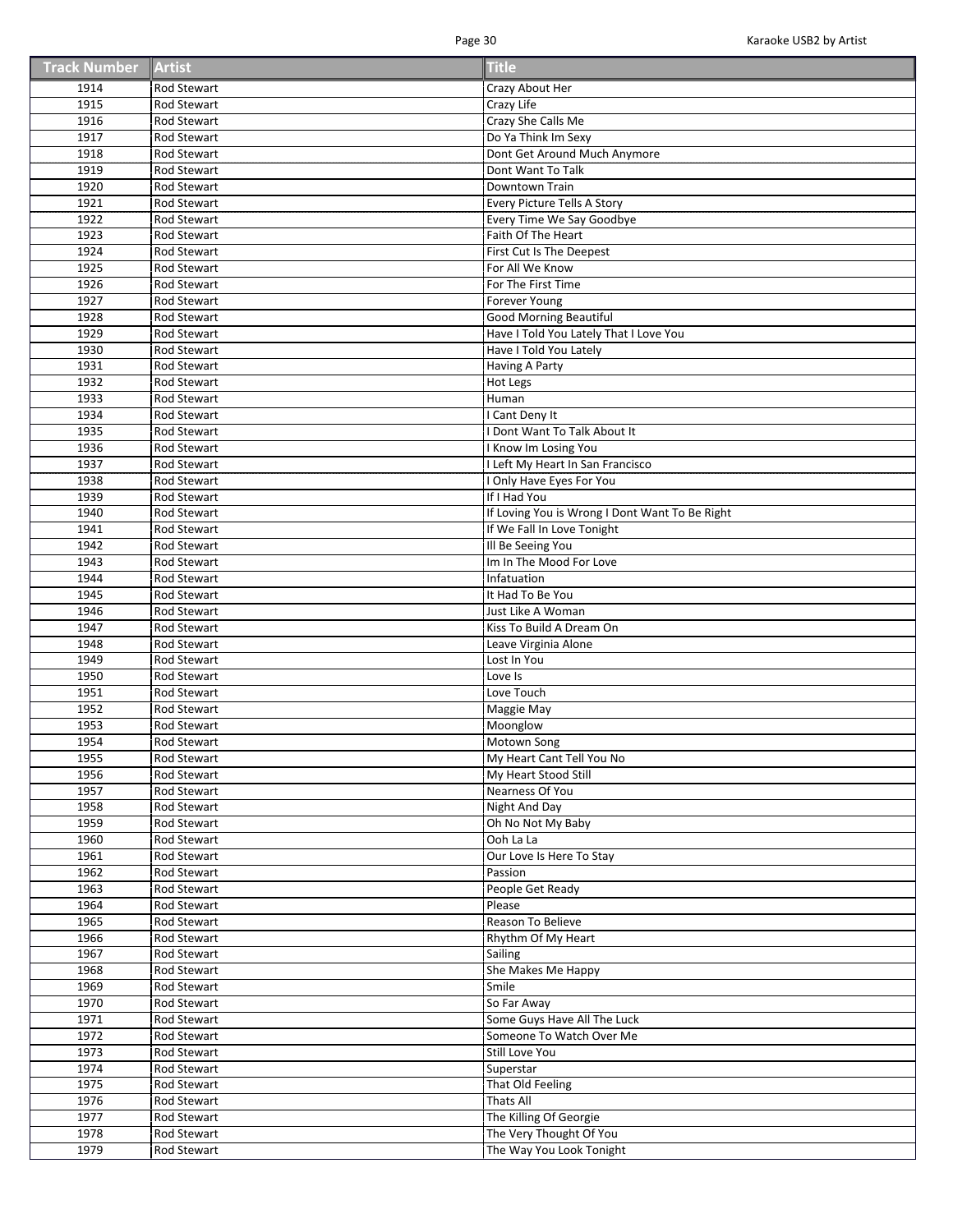| <b>Track Number Artist</b> |  | <b>Title</b> |
|----------------------------|--|--------------|
|----------------------------|--|--------------|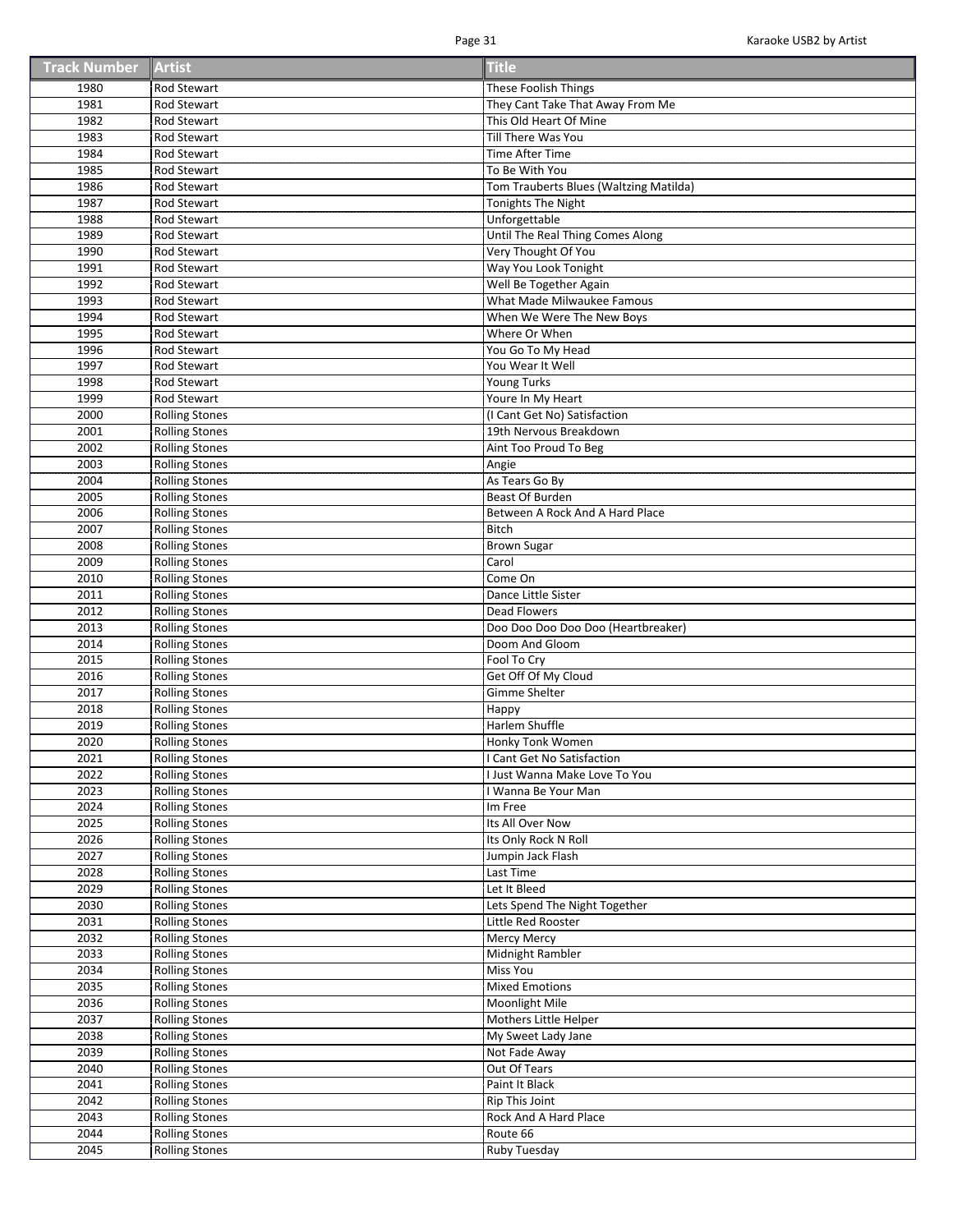| <b>Track Number Artist</b> |  | <b>Title</b> |
|----------------------------|--|--------------|
|----------------------------|--|--------------|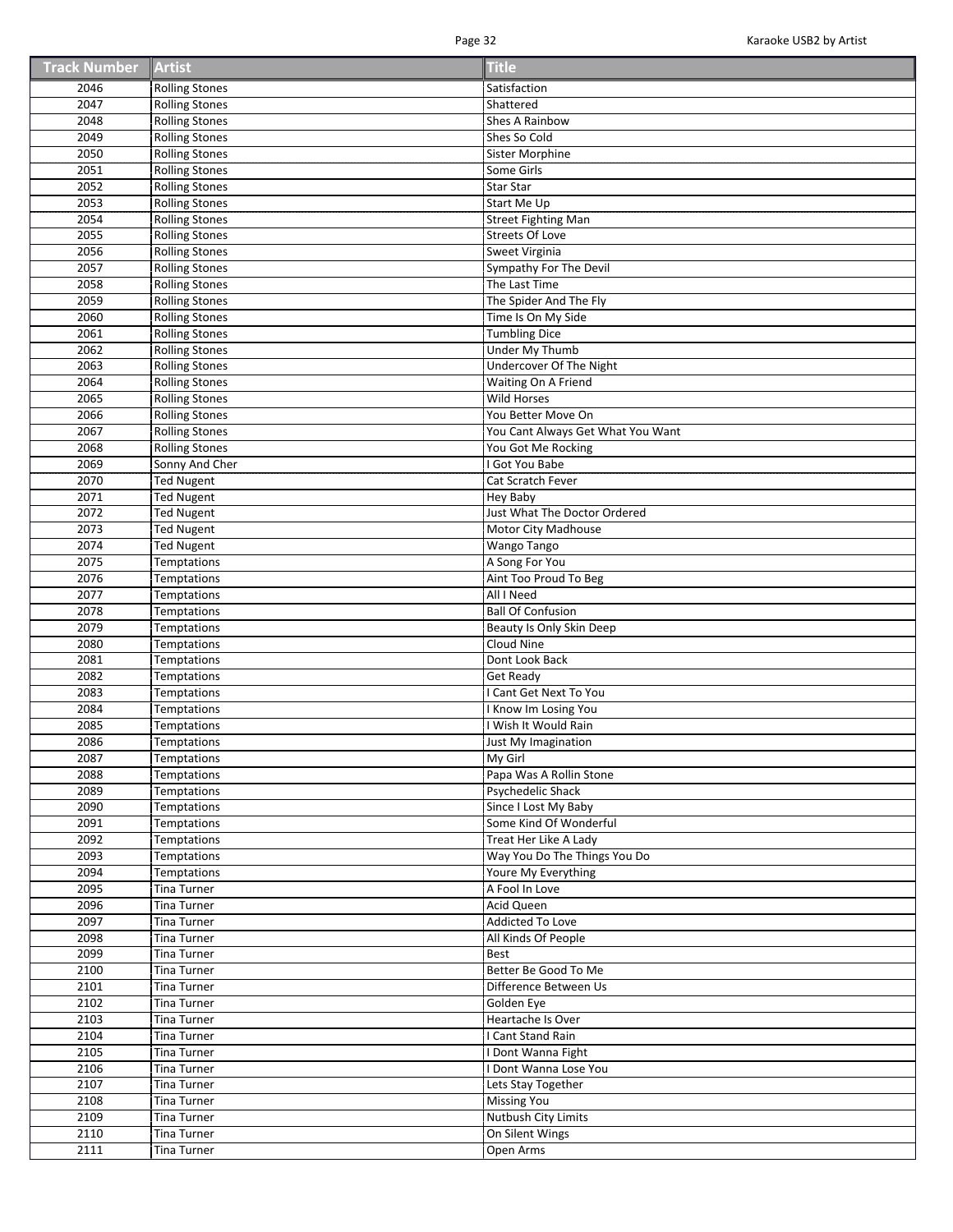| <b>Track Number Artist</b> |  | <b>Title</b> |
|----------------------------|--|--------------|
|----------------------------|--|--------------|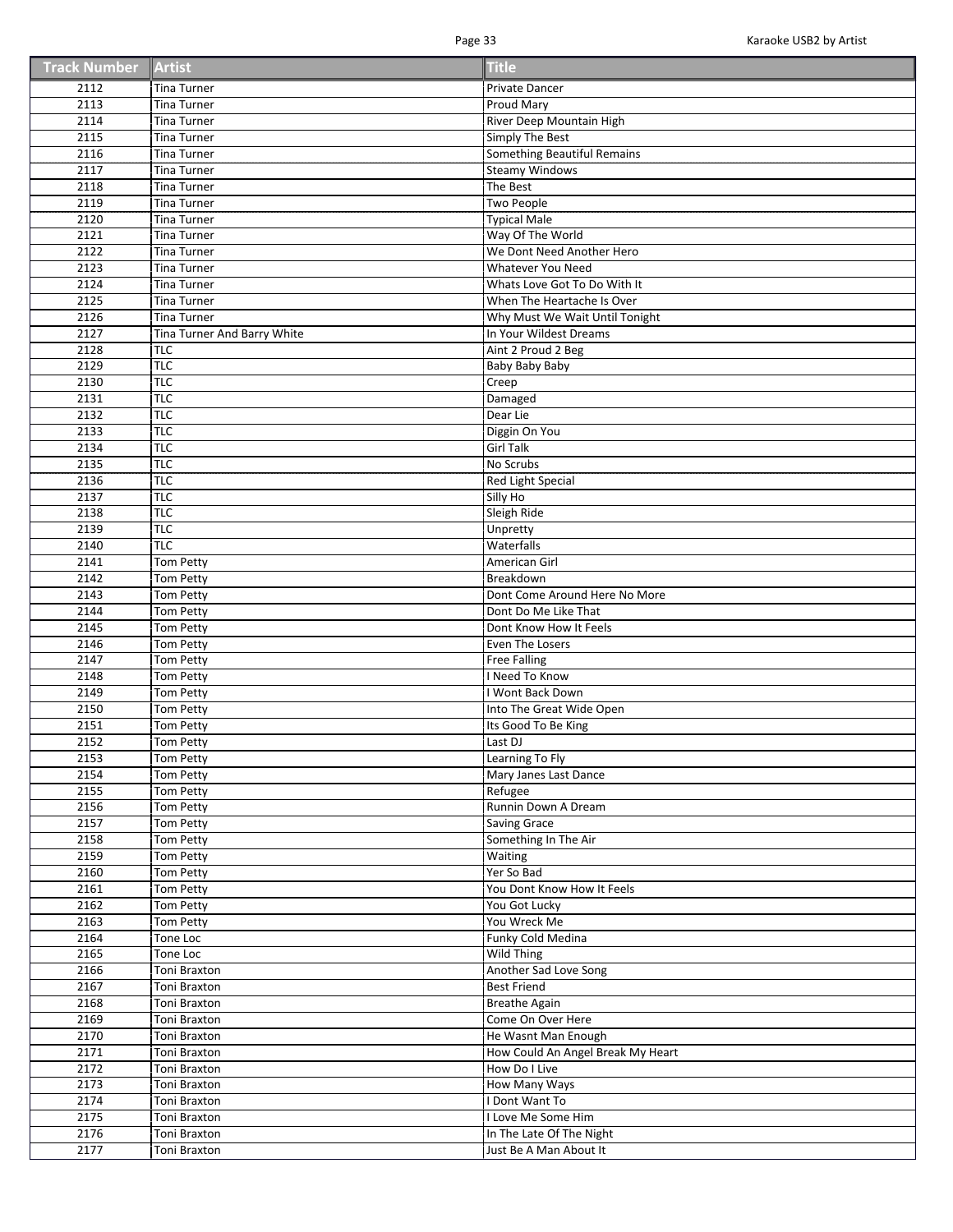| <b>Track Number Artist</b> |  | <b>Title</b> |
|----------------------------|--|--------------|
|----------------------------|--|--------------|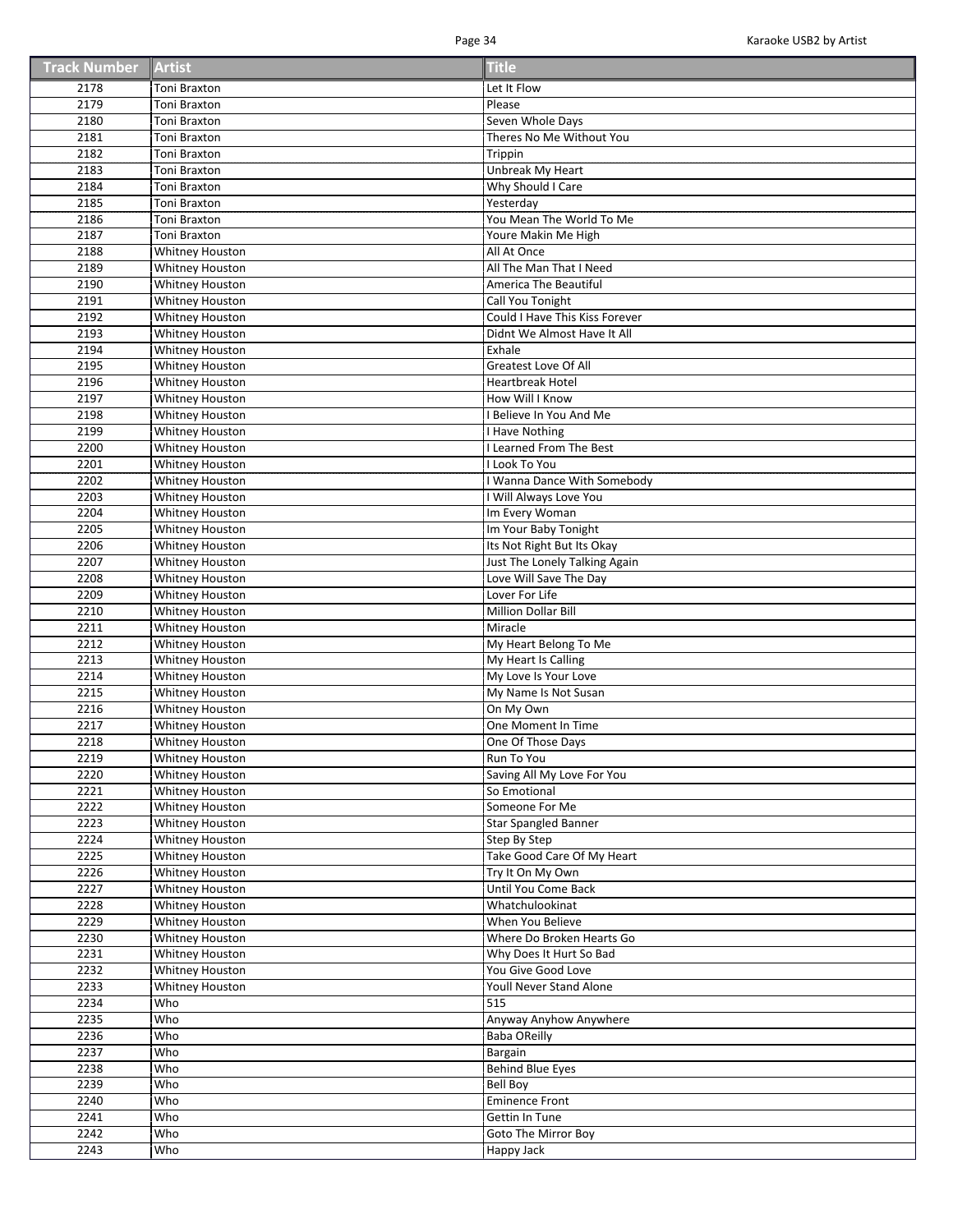| <b>Track Number Artist</b> |  | <b>Title</b> |
|----------------------------|--|--------------|
|----------------------------|--|--------------|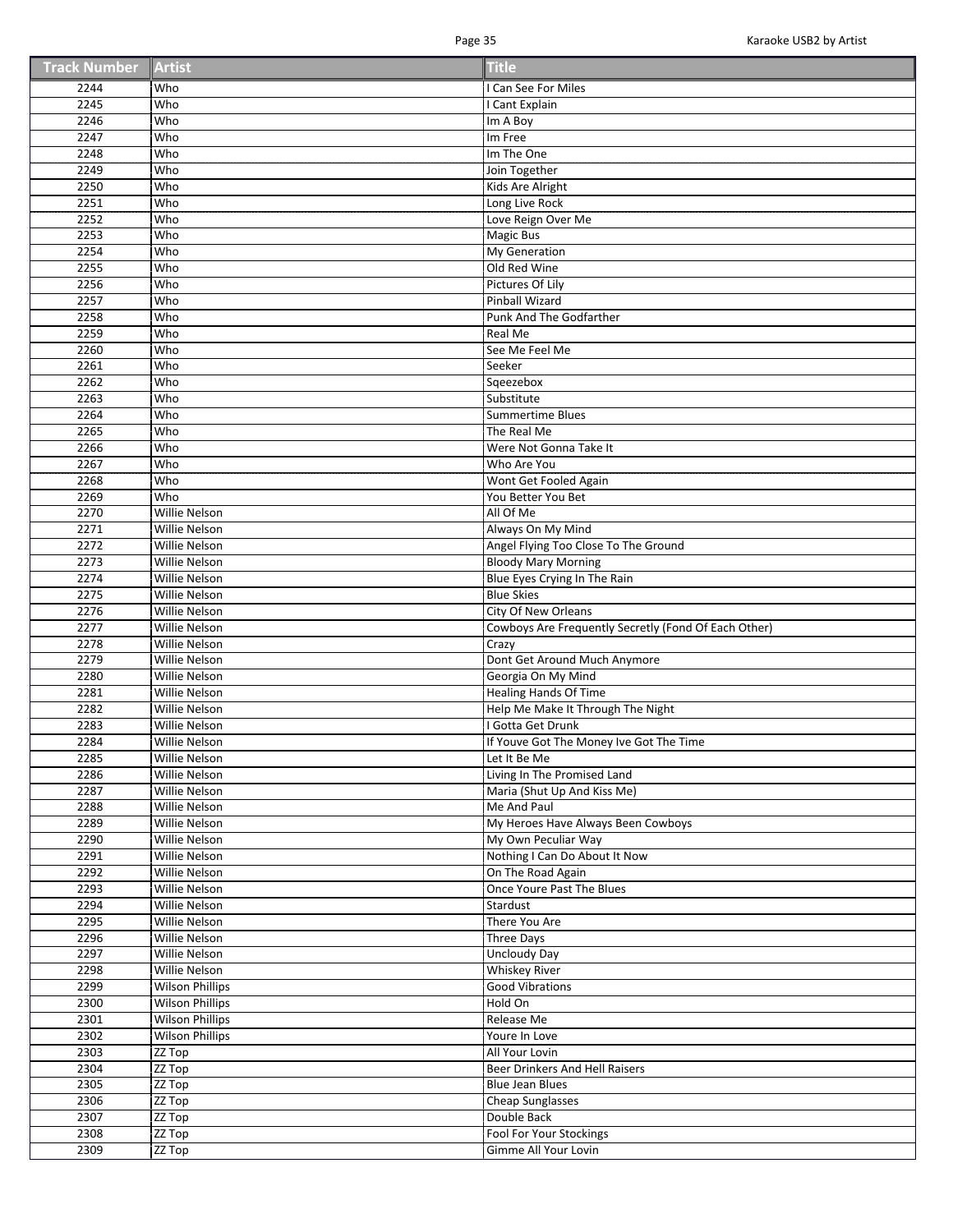| <b>Track Number Artist</b> |  | <b>Title</b> |
|----------------------------|--|--------------|
|----------------------------|--|--------------|